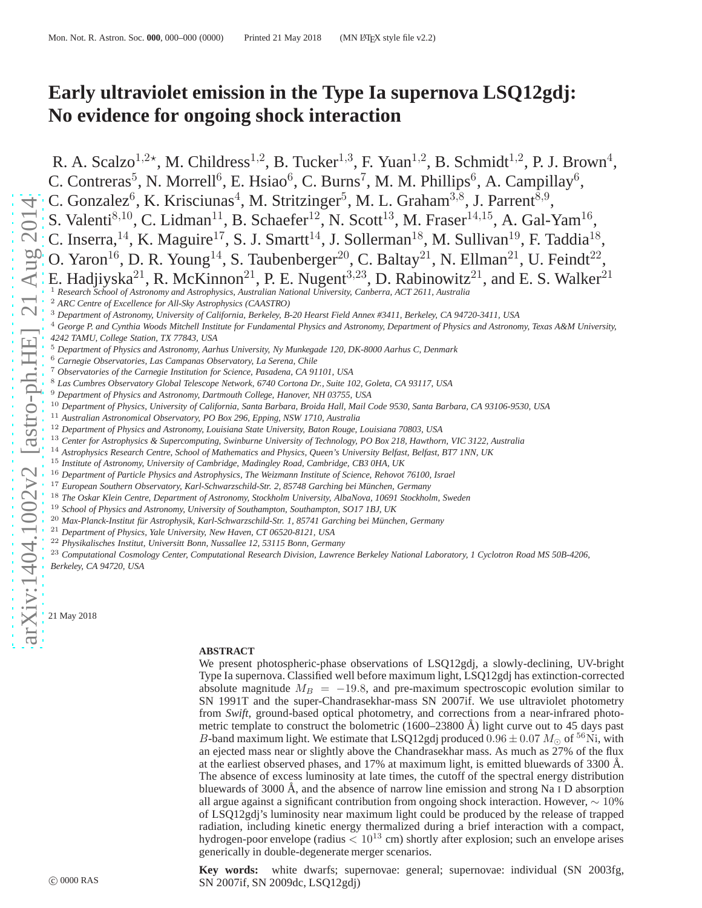# **Early ultraviolet emission in the Type Ia supernova LSQ12gdj: No evidence for ongoing shock interaction**

R. A. Scalzo<sup>1,2\*</sup>, M. Childress<sup>1,2</sup>, B. Tucker<sup>1,3</sup>, F. Yuan<sup>1,2</sup>, B. Schmidt<sup>1,2</sup>, P. J. Brown<sup>4</sup>, C. Contreras<sup>5</sup>, N. Morrell<sup>6</sup>, E. Hsiao<sup>6</sup>, C. Burns<sup>7</sup>, M. M. Phillips<sup>6</sup> , A. Campillay $^6$ ,

C. Gonzalez<sup>6</sup>, K. Krisciunas<sup>4</sup>, M. Stritzinger<sup>5</sup>, M. L. Graham<sup>3,8</sup>, J. Parrent<sup>8,9</sup>,

S. Valenti<sup>8,10</sup>, C. Lidman<sup>11</sup>, B. Schaefer<sup>12</sup>, N. Scott<sup>13</sup>, M. Fraser<sup>14,15</sup>, A. Gal-Yam<sup>16</sup>,

C. Inserra, <sup>14</sup>, K. Maguire<sup>17</sup>, S. J. Smartt<sup>14</sup>, J. Sollerman<sup>18</sup>, M. Sullivan<sup>19</sup>, F. Taddia<sup>18</sup>,

O. Yaron<sup>16</sup>, D. R. Young<sup>14</sup>, S. Taubenberger<sup>20</sup>, C. Baltay<sup>21</sup>, N. Ellman<sup>21</sup>, U. Feindt<sup>22</sup>,

E. Hadjiyska<sup>21</sup>, R. McKinnon<sup>21</sup>, P. E. Nugent<sup>3,23</sup>, D. Rabinowitz<sup>21</sup>, and E. S. Walker<sup>21</sup>

<sup>1</sup> *Research School of Astronomy and Astrophysics, Australian National University, Canberra, ACT 2611, Australia*

<sup>4</sup> *George P. and Cynthia Woods Mitchell Institute for Fundamental Physics and Astronomy, Department of Physics and Astronomy, Texas A&M University, 4242 TAMU, College Station, TX 77843, USA*

- <sup>6</sup> *Carnegie Observatories, Las Campanas Observatory, La Serena, Chile*
- <sup>7</sup> *Observatories of the Carnegie Institution for Science, Pasadena, CA 91101, USA*
- <sup>8</sup> *Las Cumbres Observatory Global Telescope Network, 6740 Cortona Dr., Suite 102, Goleta, CA 93117, USA*
- <sup>9</sup> *Department of Physics and Astronomy, Dartmouth College, Hanover, NH 03755, USA*
- <sup>10</sup> *Department of Physics, University of California, Santa Barbara, Broida Hall, Mail Code 9530, Santa Barbara, CA 93106-9530, USA*
- <sup>11</sup> *Australian Astronomical Observatory, PO Box 296, Epping, NSW 1710, Australia*
- <sup>12</sup> *Department of Physics and Astronomy, Louisiana State University, Baton Rouge, Louisiana 70803, USA*
- <sup>13</sup> *Center for Astrophysics & Supercomputing, Swinburne University of Technology, PO Box 218, Hawthorn, VIC 3122, Australia*
- <sup>14</sup> *Astrophysics Research Centre, School of Mathematics and Physics, Queen's University Belfast, Belfast, BT7 1NN, UK*
- <sup>15</sup> *Institute of Astronomy, University of Cambridge, Madingley Road, Cambridge, CB3 0HA, UK*
- <sup>16</sup> *Department of Particle Physics and Astrophysics, The Weizmann Institute of Science, Rehovot 76100, Israel*
- <sup>17</sup> European Southern Observatory, Karl-Schwarzschild-Str. 2, 85748 Garching bei München, Germany
- <sup>18</sup> *The Oskar Klein Centre, Department of Astronomy, Stockholm University, AlbaNova, 10691 Stockholm, Sweden*
- <sup>19</sup> *School of Physics and Astronomy, University of Southampton, Southampton, SO17 1BJ, UK*
- <sup>20</sup> Max-Planck-Institut für Astrophysik, Karl-Schwarzschild-Str. 1, 85741 Garching bei München, Germany
- <sup>21</sup> *Department of Physics, Yale University, New Haven, CT 06520-8121, USA*

<sup>22</sup> *Physikalisches Institut, Universitt Bonn, Nussallee 12, 53115 Bonn, Germany*

<sup>23</sup> *Computational Cosmology Center, Computational Research Division, Lawrence Berkeley National Laboratory, 1 Cyclotron Road MS 50B-4206, Berkeley, CA 94720, USA*

21 May 2018

#### **ABSTRACT**

We present photospheric-phase observations of LSQ12gdj, a slowly-declining, UV-bright Type Ia supernova. Classified well before maximum light, LSQ12gdj has extinction-corrected absolute magnitude  $M_B = -19.8$ , and pre-maximum spectroscopic evolution similar to SN 1991T and the super-Chandrasekhar-mass SN 2007if. We use ultraviolet photometry from *Swift*, ground-based optical photometry, and corrections from a near-infrared photometric template to construct the bolometric  $(1600-23800 \text{ Å})$  light curve out to 45 days past B-band maximum light. We estimate that LSQ12gdj produced  $0.96 \pm 0.07 M_{\odot}$  of <sup>56</sup>Ni, with an ejected mass near or slightly above the Chandrasekhar mass. As much as 27% of the flux at the earliest observed phases, and 17% at maximum light, is emitted bluewards of 3300 Å. The absence of excess luminosity at late times, the cutoff of the spectral energy distribution bluewards of 3000 Å, and the absence of narrow line emission and strong Na  $I$  D absorption all argue against a significant contribution from ongoing shock interaction. However,  $\sim 10\%$ of LSQ12gdj's luminosity near maximum light could be produced by the release of trapped radiation, including kinetic energy thermalized during a brief interaction with a compact, hydrogen-poor envelope (radius  $\lt 10^{13}$  cm) shortly after explosion; such an envelope arises generically in double-degenerate merger scenarios.

**Key words:** white dwarfs; supernovae: general; supernovae: individual (SN 2003fg, SN 2007if, SN 2009dc, LSQ12gdj)

<sup>2</sup> *ARC Centre of Excellence for All-Sky Astrophysics (CAASTRO)*

<sup>3</sup> *Department of Astronomy, University of California, Berkeley, B-20 Hearst Field Annex #3411, Berkeley, CA 94720-3411, USA*

<sup>5</sup> *Department of Physics and Astronomy, Aarhus University, Ny Munkegade 120, DK-8000 Aarhus C, Denmark*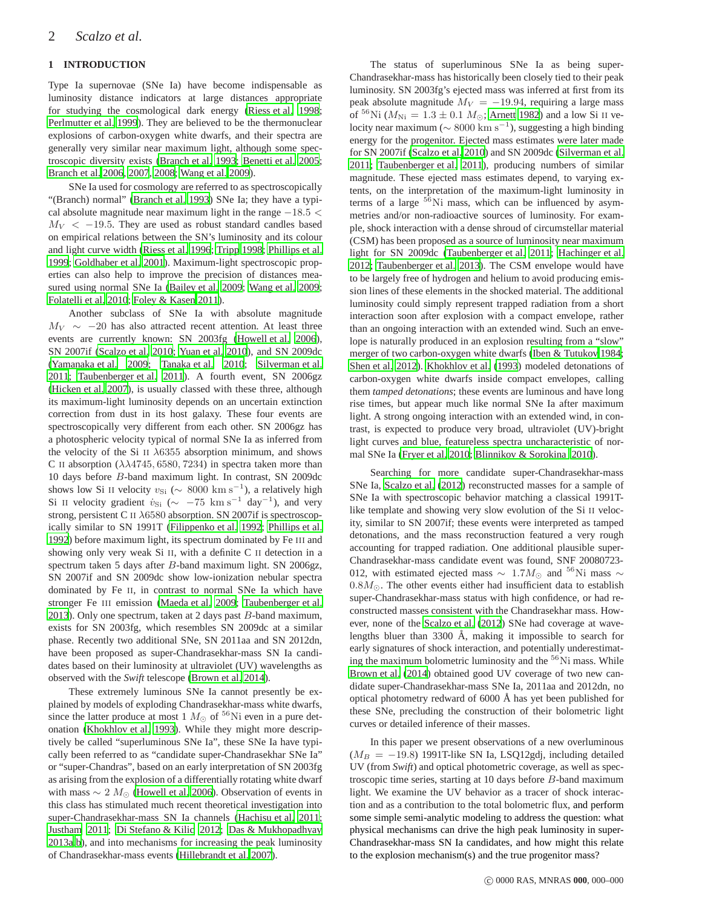## **1 INTRODUCTION**

Type Ia supernovae (SNe Ia) have become indispensable as luminosity distance indicators at large distances appropriate for studying the cosmological dark energy [\(Riess et al. 1998;](#page-17-0) [Perlmutter et al. 1999](#page-17-1)). They are believed to be the thermonuclear explosions of carbon-oxygen white dwarfs, and their spectra are generally very similar near maximum light, although some spectroscopic diversity exists [\(Branch et al. 1993](#page-16-0); [Benetti et al. 2005;](#page-16-1) [Branch et al. 2006,](#page-16-2) [2007](#page-16-3), [2008;](#page-16-4) [Wang et al. 2009\)](#page-17-2).

SNe Ia used for cosmology are referred to as spectroscopically "(Branch) normal" [\(Branch et al. 1993\)](#page-16-0) SNe Ia; they have a typical absolute magnitude near maximum light in the range −18.5 <  $M_V < -19.5$ . They are used as robust standard candles based on empirical relations between the SN's luminosity and its colour and light curve width [\(Riess et al. 1996](#page-17-3); [Tripp 1998](#page-17-4); [Phillips et al.](#page-17-5) [1999](#page-17-5); [Goldhaber et al. 2001](#page-17-6)). Maximum-light spectroscopic properties can also help to improve the precision of distances measured using normal SNe Ia [\(Bailey et al. 2009](#page-16-5); [Wang et al. 2009;](#page-17-2) [Folatelli et al. 2010;](#page-17-7) [Foley & Kasen 2011](#page-17-8)).

Another subclass of SNe Ia with absolute magnitude  $M_V \sim -20$  has also attracted recent attention. At least three events are currently known: SN 2003fg [\(Howell et al. 2006\)](#page-17-9), SN 2007if [\(Scalzo et al. 2010;](#page-17-10) [Yuan et al. 2010\)](#page-17-11), and SN 2009dc [\(Yamanaka et al. 2009](#page-17-12); [Tanaka et al. 2010](#page-17-13); [Silverman et al.](#page-17-14) [2011](#page-17-14); [Taubenberger et al. 2011](#page-17-15)). A fourth event, SN 2006gz [\(Hicken et al. 2007](#page-17-16)), is usually classed with these three, although its maximum-light luminosity depends on an uncertain extinction correction from dust in its host galaxy. These four events are spectroscopically very different from each other. SN 2006gz has a photospheric velocity typical of normal SNe Ia as inferred from the velocity of the Si II  $\lambda$ 6355 absorption minimum, and shows C II absorption  $(\lambda \lambda 4745, 6580, 7234)$  in spectra taken more than 10 days before B-band maximum light. In contrast, SN 2009dc shows low Si II velocity  $v_{\text{Si}}$  ( $\sim 8000 \text{ km s}^{-1}$ ), a relatively high Si II velocity gradient  $\dot{v}_{\text{Si}}$  ( $\sim -75$  km s<sup>-1</sup> day<sup>-1</sup>), and very strong, persistent C II λ6580 absorption. SN 2007if is spectroscopically similar to SN 1991T [\(Filippenko et al. 1992](#page-17-17); [Phillips](#page-17-18) et al. [1992](#page-17-18)) before maximum light, its spectrum dominated by Fe III and showing only very weak Si II, with a definite C II detection in a spectrum taken 5 days after B-band maximum light. SN 2006gz, SN 2007if and SN 2009dc show low-ionization nebular spectra dominated by Fe II, in contrast to normal SNe Ia which have stronger Fe III emission [\(Maeda et al. 2009](#page-17-19); [Taubenberger et al.](#page-17-20) [2013](#page-17-20)). Only one spectrum, taken at 2 days past  $B$ -band maximum, exists for SN 2003fg, which resembles SN 2009dc at a similar phase. Recently two additional SNe, SN 2011aa and SN 2012dn, have been proposed as super-Chandrasekhar-mass SN Ia candidates based on their luminosity at ultraviolet (UV) wavelengths as observed with the *Swift* telescope [\(Brown et al. 2014\)](#page-16-6).

These extremely luminous SNe Ia cannot presently be explained by models of exploding Chandrasekhar-mass white dwarfs, since the latter produce at most 1  $M_{\odot}$  of <sup>56</sup>Ni even in a pure detonation [\(Khokhlov et al. 1993](#page-17-21)). While they might more descriptively be called "superluminous SNe Ia", these SNe Ia have typically been referred to as "candidate super-Chandrasekhar SNe Ia" or "super-Chandras", based on an early interpretation of SN 2003fg as arising from the explosion of a differentially rotating white dwarf with mass  $\sim 2 M_{\odot}$  [\(Howell et al. 2006](#page-17-9)). Observation of events in this class has stimulated much recent theoretical investigation into super-Chandrasekhar-mass SN Ia channels [\(Hachisu et al. 2011;](#page-17-22) [Justham 2011](#page-17-23); [Di Stefano & Kilic 2012](#page-17-24); [Das & Mukhopadhyay](#page-17-25) [2013a](#page-17-25)[,b\)](#page-17-26), and into mechanisms for increasing the peak luminosity of Chandrasekhar-mass events [\(Hillebrandt et al. 2007](#page-17-27)).

The status of superluminous SNe Ia as being super-Chandrasekhar-mass has historically been closely tied to their peak luminosity. SN 2003fg's ejected mass was inferred at first from its peak absolute magnitude  $M_V = -19.94$ , requiring a large mass of <sup>56</sup>Ni ( $M_{\text{Ni}} = 1.3 \pm 0.1 M_{\odot}$ ; [Arnett 1982\)](#page-16-7) and a low Si II velocity near maximum ( $\sim 8000 \text{ km s}^{-1}$ ), suggesting a high binding energy for the progenitor. Ejected mass estimates were later made for SN 2007if [\(Scalzo et al. 2010](#page-17-10)) and SN 2009dc [\(Silverman et](#page-17-14) al. [2011](#page-17-14); [Taubenberger et al. 2011](#page-17-15)), producing numbers of similar magnitude. These ejected mass estimates depend, to varying extents, on the interpretation of the maximum-light luminosity in terms of a large  ${}^{56}$ Ni mass, which can be influenced by asymmetries and/or non-radioactive sources of luminosity. For example, shock interaction with a dense shroud of circumstellar material (CSM) has been proposed as a source of luminosity near maximum light for SN 2009dc [\(Taubenberger et al. 2011](#page-17-15); [Hachinger et al.](#page-17-28) [2012](#page-17-28); [Taubenberger et al. 2013\)](#page-17-20). The CSM envelope would have to be largely free of hydrogen and helium to avoid producing emission lines of these elements in the shocked material. The additional luminosity could simply represent trapped radiation from a short interaction soon after explosion with a compact envelope, rather than an ongoing interaction with an extended wind. Such an envelope is naturally produced in an explosion resulting from a "slow" merger of two carbon-oxygen white dwarfs [\(Iben & Tutukov 1984;](#page-17-29) [Shen et al. 2012\)](#page-17-30). [Khokhlov et al. \(1993\)](#page-17-21) modeled detonations of carbon-oxygen white dwarfs inside compact envelopes, calling them *tamped detonations*; these events are luminous and have long rise times, but appear much like normal SNe Ia after maximum light. A strong ongoing interaction with an extended wind, in contrast, is expected to produce very broad, ultraviolet (UV)-bright light curves and blue, featureless spectra uncharacteristic of normal SNe Ia [\(Fryer et al. 2010;](#page-17-31) [Blinnikov & Sorokina 2010](#page-16-8)).

Searching for more candidate super-Chandrasekhar-mass SNe Ia, [Scalzo et al. \(2012\)](#page-17-32) reconstructed masses for a sample of SNe Ia with spectroscopic behavior matching a classical 1991Tlike template and showing very slow evolution of the Si II velocity, similar to SN 2007if; these events were interpreted as tamped detonations, and the mass reconstruction featured a very rough accounting for trapped radiation. One additional plausible super-Chandrasekhar-mass candidate event was found, SNF 20080723- 012, with estimated ejected mass  $\sim 1.7M_{\odot}$  and <sup>56</sup>Ni mass  $\sim$  $0.8M_{\odot}$ . The other events either had insufficient data to establish super-Chandrasekhar-mass status with high confidence, or had reconstructed masses consistent with the Chandrasekhar mass. However, none of the [Scalzo et al.](#page-17-32) [\(2012](#page-17-32)) SNe had coverage at wavelengths bluer than 3300 Å, making it impossible to search for early signatures of shock interaction, and potentially underestimating the maximum bolometric luminosity and the <sup>56</sup>Ni mass. While [Brown et al. \(2014\)](#page-16-6) obtained good UV coverage of two new candidate super-Chandrasekhar-mass SNe Ia, 2011aa and 2012dn, no optical photometry redward of  $6000 \text{ Å}$  has yet been published for these SNe, precluding the construction of their bolometric light curves or detailed inference of their masses.

In this paper we present observations of a new overluminous  $(M_B = -19.8)$  1991T-like SN Ia, LSQ12gdj, including detailed UV (from *Swift*) and optical photometric coverage, as well as spectroscopic time series, starting at 10 days before B-band maximum light. We examine the UV behavior as a tracer of shock interaction and as a contribution to the total bolometric flux, and perform some simple semi-analytic modeling to address the question: what physical mechanisms can drive the high peak luminosity in super-Chandrasekhar-mass SN Ia candidates, and how might this relate to the explosion mechanism(s) and the true progenitor mass?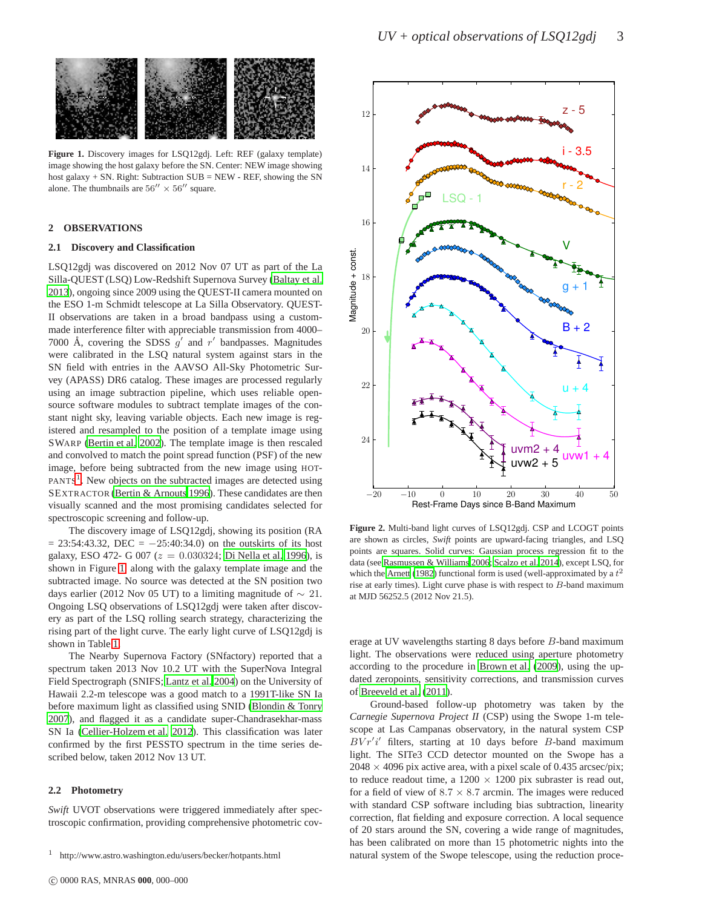

<span id="page-2-1"></span>**Figure 1.** Discovery images for LSQ12gdj. Left: REF (galaxy template) image showing the host galaxy before the SN. Center: NEW image showing host galaxy + SN. Right: Subtraction SUB = NEW - REF, showing the SN alone. The thumbnails are  $56'' \times 56''$  square.

#### **2 OBSERVATIONS**

#### **2.1 Discovery and Classification**

LSQ12gdj was discovered on 2012 Nov 07 UT as part of the La Silla-QUEST (LSQ) Low-Redshift Supernova Survey [\(Baltay et al.](#page-16-9) [2013](#page-16-9)), ongoing since 2009 using the QUEST-II camera mounted on the ESO 1-m Schmidt telescope at La Silla Observatory. QUEST-II observations are taken in a broad bandpass using a custommade interference filter with appreciable transmission from 4000– 7000 Å, covering the SDSS  $g'$  and  $r'$  bandpasses. Magnitudes were calibrated in the LSQ natural system against stars in the SN field with entries in the AAVSO All-Sky Photometric Survey (APASS) DR6 catalog. These images are processed regularly using an image subtraction pipeline, which uses reliable opensource software modules to subtract template images of the constant night sky, leaving variable objects. Each new image is registered and resampled to the position of a template image using SWARP [\(Bertin et al. 2002\)](#page-16-10). The template image is then rescaled and convolved to match the point spread function (PSF) of the new image, before being subtracted from the new image using HOT-PANTS<sup>[1](#page-2-0)</sup>. New objects on the subtracted images are detected using SEXTRACTOR [\(Bertin & Arnouts 1996\)](#page-16-11). These candidates are then visually scanned and the most promising candidates selected for spectroscopic screening and follow-up.

The discovery image of LSQ12gdj, showing its position (RA  $= 23:54:43.32$ , DEC  $= -25:40:34.0$  on the outskirts of its host galaxy, ESO 472- G 007 ( $z = 0.030324$ ; [Di Nella et al. 1996](#page-17-33)), is shown in Figure [1,](#page-2-1) along with the galaxy template image and the subtracted image. No source was detected at the SN position two days earlier (2012 Nov 05 UT) to a limiting magnitude of  $\sim 21$ . Ongoing LSQ observations of LSQ12gdj were taken after discovery as part of the LSQ rolling search strategy, characterizing the rising part of the light curve. The early light curve of LSQ12gdj is shown in Table [1.](#page-3-0)

The Nearby Supernova Factory (SNfactory) reported that a spectrum taken 2013 Nov 10.2 UT with the SuperNova Integral Field Spectrograph (SNIFS; [Lantz et al. 2004\)](#page-17-34) on the University of Hawaii 2.2-m telescope was a good match to a 1991T-like SN Ia before maximum light as classified using SNID [\(Blondin & Tonry](#page-16-12) [2007](#page-16-12)), and flagged it as a candidate super-Chandrasekhar-mass SN Ia [\(Cellier-Holzem et al. 2012](#page-17-35)). This classification was later confirmed by the first PESSTO spectrum in the time series described below, taken 2012 Nov 13 UT.

#### **2.2 Photometry**

*Swift* UVOT observations were triggered immediately after spectroscopic confirmation, providing comprehensive photometric cov-



<span id="page-2-2"></span>**Figure 2.** Multi-band light curves of LSQ12gdj. CSP and LCOGT points are shown as circles, *Swift* points are upward-facing triangles, and LSQ points are squares. Solid curves: Gaussian process regression fit to the data (see [Rasmussen & Williams 2006](#page-17-36); [Scalzo et al. 2014](#page-17-37)), except LSQ, for which the [Arnett](#page-16-7) [\(1982](#page-16-7)) functional form is used (well-approximated by a  $t^2$ rise at early times). Light curve phase is with respect to B-band maximum at MJD 56252.5 (2012 Nov 21.5).

erage at UV wavelengths starting 8 days before B-band maximum light. The observations were reduced using aperture photometry according to the procedure in [Brown et al. \(2009](#page-16-13)), using the updated zeropoints, sensitivity corrections, and transmission curves of [Breeveld et al. \(2011\)](#page-16-14).

Ground-based follow-up photometry was taken by the *Carnegie Supernova Project II* (CSP) using the Swope 1-m telescope at Las Campanas observatory, in the natural system CSP  $BVr'i'$  filters, starting at 10 days before B-band maximum light. The SITe3 CCD detector mounted on the Swope has a  $2048 \times 4096$  pix active area, with a pixel scale of 0.435 arcsec/pix; to reduce readout time, a  $1200 \times 1200$  pix subraster is read out, for a field of view of  $8.7 \times 8.7$  arcmin. The images were reduced with standard CSP software including bias subtraction, linearity correction, flat fielding and exposure correction. A local sequence of 20 stars around the SN, covering a wide range of magnitudes, has been calibrated on more than 15 photometric nights into the natural system of the Swope telescope, using the reduction proce-

<span id="page-2-0"></span><sup>1</sup> http://www.astro.washington.edu/users/becker/hotpants.html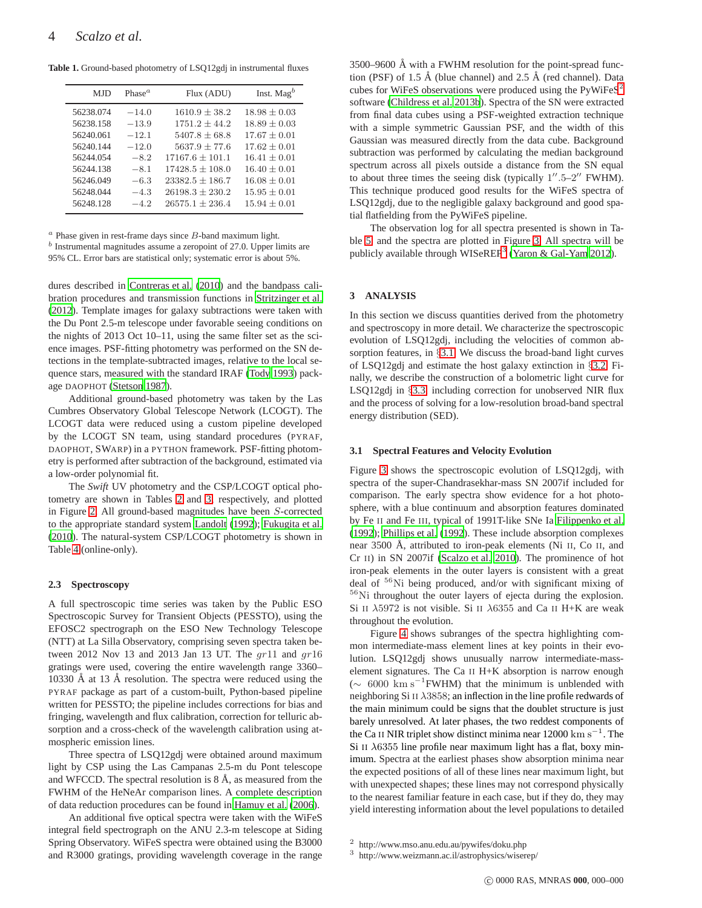**Table 1.** Ground-based photometry of LSQ12gdj in instrumental fluxes

<span id="page-3-0"></span>

| MJD       | Phase <sup><math>a</math></sup> | Flux (ADU)          | Inst. Mag $^b$   |
|-----------|---------------------------------|---------------------|------------------|
| 56238.074 | $-14.0$                         | $1610.9 \pm 38.2$   | $18.98 \pm 0.03$ |
| 56238.158 | $-13.9$                         | $1751.2 + 44.2$     | $18.89 \pm 0.03$ |
| 56240.061 | $-12.1$                         | $5407.8 + 68.8$     | $17.67 \pm 0.01$ |
| 56240.144 | $-12.0$                         | $5637.9 \pm 77.6$   | $17.62 + 0.01$   |
| 56244 054 | $-8.2$                          | $17167.6 \pm 101.1$ | $16.41 + 0.01$   |
| 56244.138 | $-8.1$                          | $17428.5 \pm 108.0$ | $16.40 \pm 0.01$ |
| 56246.049 | $-6.3$                          | $23382.5 \pm 186.7$ | $16.08 \pm 0.01$ |
| 56248.044 | $-4.3$                          | $26198.3 + 230.2$   | $15.95 \pm 0.01$ |
| 56248.128 | $-4.2$                          | $26575.1 + 236.4$   | $15.94 + 0.01$   |

 $a$  Phase given in rest-frame days since  $B$ -band maximum light.

 $<sup>b</sup>$  Instrumental magnitudes assume a zeropoint of 27.0. Upper limits are</sup> 95% CL. Error bars are statistical only; systematic error is about 5%.

dures described in [Contreras et al. \(2010\)](#page-17-38) and the bandpass calibration procedures and transmission functions in [Stritzinger et al.](#page-17-39) [\(2012](#page-17-39)). Template images for galaxy subtractions were taken with the Du Pont 2.5-m telescope under favorable seeing conditions on the nights of 2013 Oct 10–11, using the same filter set as the science images. PSF-fitting photometry was performed on the SN detections in the template-subtracted images, relative to the local sequence stars, measured with the standard IRAF [\(Tody 1993\)](#page-17-40) package DAOPHOT [\(Stetson 1987\)](#page-17-41).

Additional ground-based photometry was taken by the Las Cumbres Observatory Global Telescope Network (LCOGT). The LCOGT data were reduced using a custom pipeline developed by the LCOGT SN team, using standard procedures (PYRAF, DAOPHOT, SWARP) in a PYTHON framework. PSF-fitting photometry is performed after subtraction of the background, estimated via a low-order polynomial fit.

The *Swift* UV photometry and the CSP/LCOGT optical photometry are shown in Tables [2](#page-4-0) and [3,](#page-5-0) respectively, and plotted in Figure [2.](#page-2-2) All ground-based magnitudes have been S-corrected to the appropriate standard system [Landolt](#page-17-42) [\(1992](#page-17-42)); [Fukugita et al.](#page-17-43) [\(2010](#page-17-43)). The natural-system CSP/LCOGT photometry is shown in Table [4](#page-5-1) (online-only).

#### **2.3 Spectroscopy**

A full spectroscopic time series was taken by the Public ESO Spectroscopic Survey for Transient Objects (PESSTO), using the EFOSC2 spectrograph on the ESO New Technology Telescope (NTT) at La Silla Observatory, comprising seven spectra taken between 2012 Nov 13 and 2013 Jan 13 UT. The  $gr11$  and  $gr16$ gratings were used, covering the entire wavelength range 3360– 10330 Å at 13 Å resolution. The spectra were reduced using the PYRAF package as part of a custom-built, Python-based pipeline written for PESSTO; the pipeline includes corrections for bias and fringing, wavelength and flux calibration, correction for telluric absorption and a cross-check of the wavelength calibration using atmospheric emission lines.

Three spectra of LSQ12gdj were obtained around maximum light by CSP using the Las Campanas 2.5-m du Pont telescope and WFCCD. The spectral resolution is  $8 \text{ Å}$ , as measured from the FWHM of the HeNeAr comparison lines. A complete description of data reduction procedures can be found in [Hamuy et al.](#page-17-44) [\(2006](#page-17-44)).

An additional five optical spectra were taken with the WiFeS integral field spectrograph on the ANU 2.3-m telescope at Siding Spring Observatory. WiFeS spectra were obtained using the B3000 and R3000 gratings, providing wavelength coverage in the range

 $3500-9600$  Å with a FWHM resolution for the point-spread function (PSF) of 1.5 Å (blue channel) and 2.5 Å (red channel). Data cubes for WiFeS observations were produced using the PyWiFe $S^2$  $S^2$ software [\(Childress et al. 2013b](#page-17-45)). Spectra of the SN were extracted from final data cubes using a PSF-weighted extraction technique with a simple symmetric Gaussian PSF, and the width of this Gaussian was measured directly from the data cube. Background subtraction was performed by calculating the median background spectrum across all pixels outside a distance from the SN equal to about three times the seeing disk (typically  $1''.5-2''$  FWHM). This technique produced good results for the WiFeS spectra of LSQ12gdj, due to the negligible galaxy background and good spatial flatfielding from the PyWiFeS pipeline.

The observation log for all spectra presented is shown in Table [5,](#page-6-0) and the spectra are plotted in Figure [3.](#page-7-0) All spectra will be publicly available through WISeREP<sup>[3](#page-3-2)</sup> [\(Yaron & Gal-Yam 2012\)](#page-17-46).

#### **3 ANALYSIS**

In this section we discuss quantities derived from the photometry and spectroscopy in more detail. We characterize the spectroscopic evolution of LSQ12gdj, including the velocities of common absorption features, in §[3.1.](#page-3-3) We discuss the broad-band light curves of LSQ12gdj and estimate the host galaxy extinction in §[3.2.](#page-7-1) Finally, we describe the construction of a bolometric light curve for LSQ12gdj in §[3.3,](#page-10-0) including correction for unobserved NIR flux and the process of solving for a low-resolution broad-band spectral energy distribution (SED).

#### <span id="page-3-3"></span>**3.1 Spectral Features and Velocity Evolution**

Figure [3](#page-7-0) shows the spectroscopic evolution of LSQ12gdj, with spectra of the super-Chandrasekhar-mass SN 2007if included for comparison. The early spectra show evidence for a hot photosphere, with a blue continuum and absorption features dominated by Fe II and Fe III, typical of 1991T-like SNe Ia [Filippenko et al.](#page-17-17) [\(1992](#page-17-17)); [Phillips et al. \(1992\)](#page-17-18). These include absorption complexes near 3500 Å, attributed to iron-peak elements (Ni II, Co II, and Cr II) in SN 2007if [\(Scalzo et al. 2010\)](#page-17-10). The prominence of hot iron-peak elements in the outer layers is consistent with a great deal of <sup>56</sup>Ni being produced, and/or with significant mixing of <sup>56</sup>Ni throughout the outer layers of ejecta during the explosion. Si II  $\lambda$ 5972 is not visible. Si II  $\lambda$ 6355 and Ca II H+K are weak throughout the evolution.

Figure [4](#page-8-0) shows subranges of the spectra highlighting common intermediate-mass element lines at key points in their evolution. LSQ12gdj shows unusually narrow intermediate-masselement signatures. The Ca II H+K absorption is narrow enough  $({\sim 6000 \text{ km s}^{-1}}$  FWHM) that the minimum is unblended with neighboring Si II λ3858; an inflection in the line profile redwards of the main minimum could be signs that the doublet structure is just barely unresolved. At later phases, the two reddest components of the Ca II NIR triplet show distinct minima near  $12000 \text{ km s}^{-1}$ . The Si II  $\lambda$ 6355 line profile near maximum light has a flat, boxy minimum. Spectra at the earliest phases show absorption minima near the expected positions of all of these lines near maximum light, but with unexpected shapes; these lines may not correspond physically to the nearest familiar feature in each case, but if they do, they may yield interesting information about the level populations to detailed

<span id="page-3-2"></span><span id="page-3-1"></span><sup>3</sup> http://www.weizmann.ac.il/astrophysics/wiserep/

<sup>2</sup> http://www.mso.anu.edu.au/pywifes/doku.php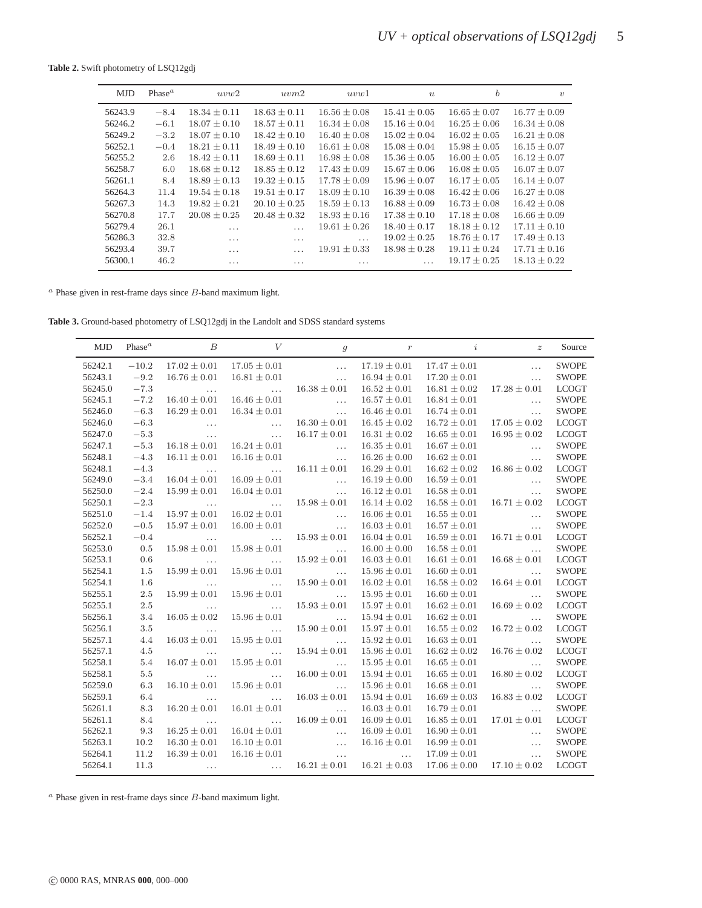**Table 2.** Swift photometry of LSQ12gdj

<span id="page-4-0"></span>

| <b>MJD</b> | Phase <sup><math>a</math></sup> | uvw2             | uvw2             | uvw1             | $\boldsymbol{u}$ | b                | $\eta$           |
|------------|---------------------------------|------------------|------------------|------------------|------------------|------------------|------------------|
|            |                                 |                  |                  |                  |                  |                  |                  |
| 56243.9    | $-8.4$                          | $18.34 \pm 0.11$ | $18.63 \pm 0.11$ | $16.56 \pm 0.08$ | $15.41 \pm 0.05$ | $16.65 \pm 0.07$ | $16.77 \pm 0.09$ |
| 56246.2    | $-6.1$                          | $18.07 \pm 0.10$ | $18.57 \pm 0.11$ | $16.34 \pm 0.08$ | $15.16 \pm 0.04$ | $16.25 \pm 0.06$ | $16.34 \pm 0.08$ |
| 56249.2    | $-3.2$                          | $18.07 + 0.10$   | $18.42 \pm 0.10$ | $16.40 \pm 0.08$ | $15.02 \pm 0.04$ | $16.02 + 0.05$   | $16.21 \pm 0.08$ |
| 56252.1    | $-0.4$                          | $18.21 \pm 0.11$ | $18.49 + 0.10$   | $16.61 + 0.08$   | $15.08 \pm 0.04$ | $15.98 \pm 0.05$ | $16.15 \pm 0.07$ |
| 56255.2    | 2.6                             | $18.42 \pm 0.11$ | $18.69 \pm 0.11$ | $16.98 \pm 0.08$ | $15.36 \pm 0.05$ | $16.00 \pm 0.05$ | $16.12 \pm 0.07$ |
| 56258.7    | 6.0                             | $18.68 \pm 0.12$ | $18.85 \pm 0.12$ | $17.43 \pm 0.09$ | $15.67 \pm 0.06$ | $16.08 + 0.05$   | $16.07 + 0.07$   |
| 56261.1    | 8.4                             | $18.89 \pm 0.13$ | $19.32 + 0.15$   | $17.78 + 0.09$   | $15.96 + 0.07$   | $16.17 + 0.05$   | $16.14 \pm 0.07$ |
| 56264.3    | 11.4                            | $19.54 \pm 0.18$ | $19.51 \pm 0.17$ | $18.09 \pm 0.10$ | $16.39 \pm 0.08$ | $16.42 \pm 0.06$ | $16.27 \pm 0.08$ |
| 56267.3    | 14.3                            | $19.82 \pm 0.21$ | $20.10 + 0.25$   | $18.59 \pm 0.13$ | $16.88 \pm 0.09$ | $16.73 \pm 0.08$ | $16.42 \pm 0.08$ |
| 56270.8    | 17.7                            | $20.08 + 0.25$   | $20.48 \pm 0.32$ | $18.93 \pm 0.16$ | $17.38 \pm 0.10$ | $17.18 \pm 0.08$ | $16.66 \pm 0.09$ |
| 56279.4    | 26.1                            | .                | $\cdots$         | $19.61 \pm 0.26$ | $18.40 \pm 0.17$ | $18.18 + 0.12$   | $17.11 + 0.10$   |
| 56286.3    | 32.8                            | .                | .                | $\cdots$         | $19.02 \pm 0.25$ | $18.76 \pm 0.17$ | $17.49 \pm 0.13$ |
| 56293.4    | 39.7                            | $\cdots$         | $\cdots$         | $19.91 \pm 0.33$ | $18.98 \pm 0.28$ | $19.11 + 0.24$   | $17.71 + 0.16$   |
| 56300.1    | 46.2                            | .                | $\cdots$         | .                | .                | $19.17 + 0.25$   | $18.13 \pm 0.22$ |

 $a$  Phase given in rest-frame days since  $B$ -band maximum light.

**Table 3.** Ground-based photometry of LSQ12gdj in the Landolt and SDSS standard systems

| <b>MJD</b> | Phase $^a$ | $\boldsymbol{B}$                                          | $\boldsymbol{V}$         | $\mathfrak{g}$                                            | $\,r\,$          | $\dot{\imath}$   | $\boldsymbol{z}$                                          | Source       |
|------------|------------|-----------------------------------------------------------|--------------------------|-----------------------------------------------------------|------------------|------------------|-----------------------------------------------------------|--------------|
| 56242.1    | $-10.2$    | $17.02 \pm 0.01$                                          | $17.05 \pm 0.01$         | $\ddotsc$                                                 | $17.19 \pm 0.01$ | $17.47 \pm 0.01$ | $\ldots$                                                  | <b>SWOPE</b> |
| 56243.1    | $-9.2$     | $16.76\pm0.01$                                            | $16.81 \pm 0.01$         | $\mathcal{L}_{\text{max}}$ .                              | $16.94 \pm 0.01$ | $17.20 \pm 0.01$ | $\ldots$                                                  | <b>SWOPE</b> |
| 56245.0    | $-7.3$     | <b>Contract Contract</b>                                  | <b>Contract Contract</b> | $16.38 \pm 0.01$                                          | $16.52 \pm 0.01$ | $16.81 \pm 0.02$ | $17.28 \pm 0.01$                                          | <b>LCOGT</b> |
| 56245.1    | $-7.2$     | $16.40 \pm 0.01$                                          | $16.46 \pm 0.01$         | <b>Service Contract</b>                                   | $16.57 \pm 0.01$ | $16.84 \pm 0.01$ | $\ldots$                                                  | <b>SWOPE</b> |
| 56246.0    | $-6.3$     | $16.29 \pm 0.01$                                          | $16.34 \pm 0.01$         | <b>Contract Contract</b>                                  | $16.46 \pm 0.01$ | $16.74 \pm 0.01$ | $\ldots$                                                  | <b>SWOPE</b> |
| 56246.0    | $-6.3$     | <b>Contract Contract</b>                                  | <b>Contract Contract</b> | $16.30 \pm 0.01$                                          | $16.45 \pm 0.02$ | $16.72 \pm 0.01$ | $17.05 \pm 0.02$                                          | <b>LCOGT</b> |
| 56247.0    | $-5.3$     | $\ldots$                                                  | $\ldots$ .               | $16.17 \pm 0.01$                                          | $16.31 \pm 0.02$ | $16.65 \pm 0.01$ | $16.95 \pm 0.02$                                          | <b>LCOGT</b> |
| 56247.1    | $-5.3$     | $16.18 \pm 0.01$                                          | $16.24 \pm 0.01$         | $\ldots$                                                  | $16.35 \pm 0.01$ | $16.67 \pm 0.01$ | $\ldots$                                                  | <b>SWOPE</b> |
| 56248.1    | $-4.3$     | $16.11 \pm 0.01$                                          | $16.16 \pm 0.01$         | $\ldots$                                                  | $16.26 \pm 0.00$ | $16.62 \pm 0.01$ | $\ldots$                                                  | <b>SWOPE</b> |
| 56248.1    | $-4.3$     | $\sim 10^{11}$ and $\sim 10^{11}$                         | <b>Contract Contract</b> | $16.11 \pm 0.01$                                          | $16.29 \pm 0.01$ | $16.62 \pm 0.02$ | $16.86 \pm 0.02$                                          | <b>LCOGT</b> |
| 56249.0    | $-3.4$     | $16.04 \pm 0.01$                                          | $16.09 \pm 0.01$         | $\ldots$                                                  | $16.19 \pm 0.00$ | $16.59 \pm 0.01$ | $\ddotsc$                                                 | <b>SWOPE</b> |
| 56250.0    | $-2.4$     | $15.99 \pm 0.01$                                          | $16.04 \pm 0.01$         | an an Sil                                                 | $16.12 \pm 0.01$ | $16.58 \pm 0.01$ | $\sim$                                                    | <b>SWOPE</b> |
| 56250.1    | $-2.3$     | <b>Contract Contract</b>                                  | <b>Service Contract</b>  | $15.98 \pm 0.01$                                          | $16.14 \pm 0.02$ | $16.58 \pm 0.01$ | $16.71 \pm 0.02$                                          | <b>LCOGT</b> |
| 56251.0    | $-1.4$     | $15.97 \pm 0.01$                                          | $16.02 \pm 0.01$         | <b>Contract Contract</b>                                  | $16.06 \pm 0.01$ | $16.55 \pm 0.01$ | $\ldots$                                                  | <b>SWOPE</b> |
| 56252.0    | $-0.5$     | $15.97 \pm 0.01$                                          | $16.00 \pm 0.01$         | $\mathcal{L}_{\text{max}}$ and $\mathcal{L}_{\text{max}}$ | $16.03 \pm 0.01$ | $16.57 \pm 0.01$ | $\mathcal{L}_{\text{max}}$ and $\mathcal{L}_{\text{max}}$ | <b>SWOPE</b> |
| 56252.1    | $-0.4$     | $\mathcal{L}_{\text{max}}$ and $\mathcal{L}_{\text{max}}$ | <b>Contract Contract</b> | $15.93 \pm 0.01$                                          | $16.04 \pm 0.01$ | $16.59 \pm 0.01$ | $16.71 \pm 0.01$                                          | <b>LCOGT</b> |
| 56253.0    | 0.5        | $15.98 \pm 0.01$                                          | $15.98 \pm 0.01$         | <b>Contract Contract</b>                                  | $16.00 \pm 0.00$ | $16.58 \pm 0.01$ | <b>Contract Contract</b>                                  | <b>SWOPE</b> |
| 56253.1    | 0.6        | <b>Contract Contract</b>                                  | <b>Contract Contract</b> | $15.92 \pm 0.01$                                          | $16.03 \pm 0.01$ | $16.61 \pm 0.01$ | $16.68 \pm 0.01$                                          | <b>LCOGT</b> |
| 56254.1    | 1.5        | $15.99 \pm 0.01$                                          | $15.96 \pm 0.01$         | <b>Service Contract</b>                                   | $15.96 \pm 0.01$ | $16.60 \pm 0.01$ | $\ldots$                                                  | <b>SWOPE</b> |
| 56254.1    | 1.6        | <b>Contract Contract</b>                                  | $\ldots$ .               | $15.90 \pm 0.01$                                          | $16.02 \pm 0.01$ | $16.58 \pm 0.02$ | $16.64 \pm 0.01$                                          | <b>LCOGT</b> |
| 56255.1    | $2.5\,$    | $15.99 \pm 0.01$                                          | $15.96 \pm 0.01$         | <b>Contract Contract</b>                                  | $15.95 \pm 0.01$ | $16.60 \pm 0.01$ | <b>Contract Contract</b>                                  | <b>SWOPE</b> |
| 56255.1    | $2.5\,$    | <b>Contract Contract</b>                                  | <b>Service Contract</b>  | $15.93 \pm 0.01$                                          | $15.97 \pm 0.01$ | $16.62 \pm 0.01$ | $16.69 \pm 0.02$                                          | <b>LCOGT</b> |
| 56256.1    | 3.4        | $16.05 \pm 0.02$                                          | $15.96 \pm 0.01$         | <b>Contractor</b> Service                                 | $15.94 \pm 0.01$ | $16.62 \pm 0.01$ | <b>Contract Contract</b>                                  | <b>SWOPE</b> |
| 56256.1    | 3.5        | <b>Contract Contract</b>                                  | <b>Contract Contract</b> | $15.90 \pm 0.01$                                          | $15.97 \pm 0.01$ | $16.55 \pm 0.02$ | $16.72 \pm 0.02$                                          | <b>LCOGT</b> |
| 56257.1    | 4.4        | $16.03 \pm 0.01$                                          | $15.95 \pm 0.01$         | <u>and a straight state</u>                               | $15.92 \pm 0.01$ | $16.63 \pm 0.01$ | <b>Contract Contract State</b>                            | <b>SWOPE</b> |
| 56257.1    | 4.5        | $\sim 10^{11}$ and $\sim 10^{11}$                         | <b>Contract Contract</b> | $15.94 \pm 0.01$                                          | $15.96 \pm 0.01$ | $16.62 \pm 0.02$ | $16.76 \pm 0.02$                                          | <b>LCOGT</b> |
| 56258.1    | 5.4        | $16.07 \pm 0.01$                                          | $15.95 \pm 0.01$         | <b>Contract Contract</b>                                  | $15.95 \pm 0.01$ | $16.65 \pm 0.01$ | <b>Contract Contract State</b>                            | <b>SWOPE</b> |
| 56258.1    | 5.5        | <b>Contract Contract</b>                                  | <b>Contract Contract</b> | $16.00 \pm 0.01$                                          | $15.94 \pm 0.01$ | $16.65 \pm 0.01$ | $16.80 \pm 0.02$                                          | <b>LCOGT</b> |
| 56259.0    | 6.3        | $16.10 \pm 0.01$                                          | $15.96 \pm 0.01$         | <b><i>Committee States</i></b>                            | $15.96 \pm 0.01$ | $16.68 \pm 0.01$ | $\ddotsc$                                                 | <b>SWOPE</b> |
| 56259.1    | 6.4        | <b>Contract Contract</b>                                  | $\ldots$                 | $16.03 \pm 0.01$                                          | $15.94 \pm 0.01$ | $16.69 \pm 0.03$ | $16.83 \pm 0.02$                                          | <b>LCOGT</b> |
| 56261.1    | 8.3        | $16.20 \pm 0.01$                                          | $16.01 \pm 0.01$         | $\cdots$                                                  | $16.03 \pm 0.01$ | $16.79 \pm 0.01$ | $\ldots$                                                  | <b>SWOPE</b> |
| 56261.1    | 8.4        | $\ldots$                                                  | $\ldots$                 | $16.09 \pm 0.01$                                          | $16.09 \pm 0.01$ | $16.85 \pm 0.01$ | $17.01 \pm 0.01$                                          | <b>LCOGT</b> |
| 56262.1    | 9.3        | $16.25 \pm 0.01$                                          | $16.04 \pm 0.01$         | $\sim$ $\sim$ $\sim$ $\sim$                               | $16.09 \pm 0.01$ | $16.90 \pm 0.01$ | $\ldots$                                                  | <b>SWOPE</b> |
| 56263.1    | 10.2       | $16.30 \pm 0.01$                                          | $16.10 \pm 0.01$         | $\sim$ 100 $\pm$ 100 $\pm$                                | $16.16 \pm 0.01$ | $16.99 \pm 0.01$ | $\ldots$                                                  | <b>SWOPE</b> |
| 56264.1    | 11.2       | $16.39 \pm 0.01$                                          | $16.16 \pm 0.01$         | $\ldots$                                                  | $\ldots$         | $17.09 \pm 0.01$ | $\ddotsc$                                                 | <b>SWOPE</b> |
| 56264.1    | 11.3       | $\cdots$                                                  | $\ldots$                 | $16.21 \pm 0.01$                                          | $16.21 \pm 0.03$ | $17.06 \pm 0.00$ | $17.10 \pm 0.02$                                          | <b>LCOGT</b> |

 $a$  Phase given in rest-frame days since  $B$ -band maximum light.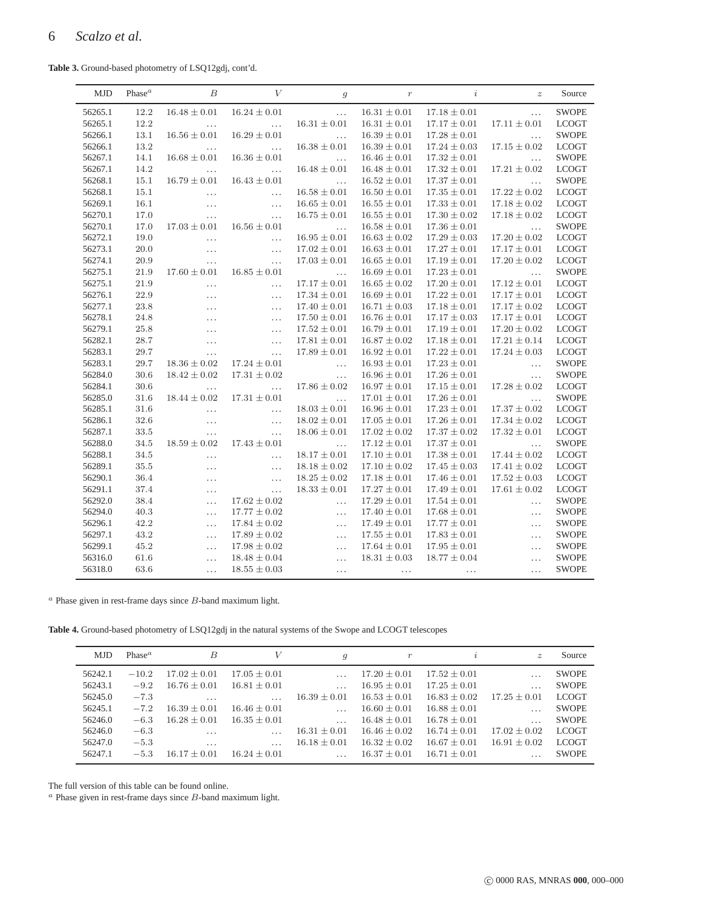**Table 3.** Ground-based photometry of LSQ12gdj, cont'd.

<span id="page-5-0"></span>

| <b>MJD</b> | Phase <sup>a</sup> | B                | $\boldsymbol{V}$ | $\mathfrak{g}$   | $\boldsymbol{r}$ | $\dot{i}$        | $\boldsymbol{z}$ | Source       |
|------------|--------------------|------------------|------------------|------------------|------------------|------------------|------------------|--------------|
| 56265.1    | 12.2               | $16.48 \pm 0.01$ | $16.24 \pm 0.01$ | $\cdots$         | $16.31 \pm 0.01$ | $17.18 \pm 0.01$ | $\ddots$         | <b>SWOPE</b> |
| 56265.1    | 12.2               | $\ldots$         | $\cdots$         | $16.31 \pm 0.01$ | $16.31 \pm 0.01$ | $17.17 \pm 0.01$ | $17.11 \pm 0.01$ | <b>LCOGT</b> |
| 56266.1    | 13.1               | $16.56 \pm 0.01$ | $16.29 \pm 0.01$ | $\ldots$         | $16.39 \pm 0.01$ | $17.28 \pm 0.01$ | $\cdots$         | <b>SWOPE</b> |
| 56266.1    | 13.2               | $\cdots$         | $\cdots$         | $16.38 \pm 0.01$ | $16.39 \pm 0.01$ | $17.24 \pm 0.03$ | $17.15 \pm 0.02$ | <b>LCOGT</b> |
| 56267.1    | 14.1               | $16.68 \pm 0.01$ | $16.36 \pm 0.01$ | $\cdots$         | $16.46 \pm 0.01$ | $17.32 \pm 0.01$ | $\ldots$         | <b>SWOPE</b> |
| 56267.1    | 14.2               | $\cdots$         | $\cdots$         | $16.48 \pm 0.01$ | $16.48 \pm 0.01$ | $17.32 \pm 0.01$ | $17.21 \pm 0.02$ | <b>LCOGT</b> |
| 56268.1    | 15.1               | $16.79 \pm 0.01$ | $16.43 \pm 0.01$ | $\cdots$         | $16.52 \pm 0.01$ | $17.37 \pm 0.01$ | $\ldots$         | <b>SWOPE</b> |
| 56268.1    | 15.1               | $\cdots$         | $\cdots$         | $16.58 \pm 0.01$ | $16.50 \pm 0.01$ | $17.35 \pm 0.01$ | $17.22\pm0.02$   | <b>LCOGT</b> |
| 56269.1    | 16.1               | $\cdots$         | $\ldots$         | $16.65 \pm 0.01$ | $16.55 \pm 0.01$ | $17.33 \pm 0.01$ | $17.18 \pm 0.02$ | <b>LCOGT</b> |
| 56270.1    | 17.0               | $\cdots$         | $\cdots$         | $16.75 \pm 0.01$ | $16.55 \pm 0.01$ | $17.30 \pm 0.02$ | $17.18 \pm 0.02$ | <b>LCOGT</b> |
| 56270.1    | 17.0               | $17.03 \pm 0.01$ | $16.56 \pm 0.01$ | $\ldots$         | $16.58 \pm 0.01$ | $17.36 \pm 0.01$ | $\ldots$         | <b>SWOPE</b> |
| 56272.1    | 19.0               | $\cdots$         | $\ldots$         | $16.95 \pm 0.01$ | $16.63 \pm 0.02$ | $17.29 \pm 0.03$ | $17.20 \pm 0.02$ | <b>LCOGT</b> |
| 56273.1    | 20.0               | $\ldots$         | $\cdots$         | $17.02 \pm 0.01$ | $16.63 \pm 0.01$ | $17.27 \pm 0.01$ | $17.17\pm0.01$   | <b>LCOGT</b> |
| 56274.1    | 20.9               | $\cdots$         | $\cdots$         | $17.03 \pm 0.01$ | $16.65 \pm 0.01$ | $17.19 \pm 0.01$ | $17.20 \pm 0.02$ | <b>LCOGT</b> |
| 56275.1    | 21.9               | $17.60 \pm 0.01$ | $16.85 \pm 0.01$ | $\ldots$         | $16.69 \pm 0.01$ | $17.23 \pm 0.01$ | $\cdots$         | <b>SWOPE</b> |
| 56275.1    | 21.9               | $\cdots$         | $\cdots$         | $17.17 \pm 0.01$ | $16.65 \pm 0.02$ | $17.20 \pm 0.01$ | $17.12 \pm 0.01$ | <b>LCOGT</b> |
| 56276.1    | 22.9               | $\ldots$         | $\cdots$         | $17.34 \pm 0.01$ | $16.69 \pm 0.01$ | $17.22 \pm 0.01$ | $17.17 \pm 0.01$ | <b>LCOGT</b> |
| 56277.1    | 23.8               | $\cdots$         | $\ldots$         | $17.40 \pm 0.01$ | $16.71 \pm 0.03$ | $17.18 \pm 0.01$ | $17.17 \pm 0.02$ | <b>LCOGT</b> |
| 56278.1    | 24.8               | $\ldots$         | $\cdots$         | $17.50 \pm 0.01$ | $16.76 \pm 0.01$ | $17.17 \pm 0.03$ | $17.17 \pm 0.01$ | <b>LCOGT</b> |
| 56279.1    | 25.8               | $\ldots$         | $\cdots$         | $17.52 \pm 0.01$ | $16.79 \pm 0.01$ | $17.19 \pm 0.01$ | $17.20 \pm 0.02$ | <b>LCOGT</b> |
| 56282.1    | 28.7               | $\ldots$         | $\ldots$         | $17.81 \pm 0.01$ | $16.87 \pm 0.02$ | $17.18 \pm 0.01$ | $17.21\pm0.14$   | <b>LCOGT</b> |
| 56283.1    | 29.7               | $\ldots$         | $\ldots$         | $17.89 \pm 0.01$ | $16.92\pm0.01$   | $17.22 \pm 0.01$ | $17.24\pm0.03$   | <b>LCOGT</b> |
| 56283.1    | 29.7               | $18.36 \pm 0.02$ | $17.24\pm0.01$   | $\cdots$         | $16.93 \pm 0.01$ | $17.23 \pm 0.01$ | $\cdots$         | <b>SWOPE</b> |
| 56284.0    | 30.6               | $18.42 \pm 0.02$ | $17.31 \pm 0.02$ | $\cdots$         | $16.96 \pm 0.01$ | $17.26 \pm 0.01$ | $\cdots$         | <b>SWOPE</b> |
| 56284.1    | $30.6\,$           | $\ldots$         | $\cdots$         | $17.86 \pm 0.02$ | $16.97 \pm 0.01$ | $17.15 \pm 0.01$ | $17.28 \pm 0.02$ | <b>LCOGT</b> |
| 56285.0    | 31.6               | $18.44 \pm 0.02$ | $17.31 \pm 0.01$ | $\ldots$         | $17.01 \pm 0.01$ | $17.26 \pm 0.01$ | $\ldots$         | <b>SWOPE</b> |
| 56285.1    | 31.6               | $\ldots$         | $\ldots$         | $18.03 \pm 0.01$ | $16.96 \pm 0.01$ | $17.23 \pm 0.01$ | $17.37 \pm 0.02$ | <b>LCOGT</b> |
| 56286.1    | 32.6               | $\cdots$         | $\ldots$         | $18.02 \pm 0.01$ | $17.05 \pm 0.01$ | $17.26 \pm 0.01$ | $17.34 \pm 0.02$ | <b>LCOGT</b> |
| 56287.1    | 33.5               | $\ldots$         | $\cdots$         | $18.06 \pm 0.01$ | $17.02 \pm 0.02$ | $17.37 \pm 0.02$ | $17.32 \pm 0.01$ | <b>LCOGT</b> |
| 56288.0    | 34.5               | $18.59 \pm 0.02$ | $17.43 \pm 0.01$ | $\cdots$         | $17.12 \pm 0.01$ | $17.37 \pm 0.01$ | $\cdots$         | <b>SWOPE</b> |
| 56288.1    | 34.5               | $\ldots$         | $\cdots$         | $18.17 \pm 0.01$ | $17.10 \pm 0.01$ | $17.38 \pm 0.01$ | $17.44 \pm 0.02$ | <b>LCOGT</b> |
| 56289.1    | 35.5               | $\cdots$         | $\ldots$         | $18.18 \pm 0.02$ | $17.10 \pm 0.02$ | $17.45 \pm 0.03$ | $17.41 \pm 0.02$ | <b>LCOGT</b> |
| 56290.1    | 36.4               | $\ldots$         | $\ldots$         | $18.25 \pm 0.02$ | $17.18 \pm 0.01$ | $17.46 \pm 0.01$ | $17.52 \pm 0.03$ | <b>LCOGT</b> |
| 56291.1    | 37.4               | $\ldots$         | $\ldots$         | $18.33 \pm 0.01$ | $17.27 \pm 0.01$ | $17.49 \pm 0.01$ | $17.61\pm0.02$   | <b>LCOGT</b> |
| 56292.0    | 38.4               | $\ddotsc$        | $17.62 \pm 0.02$ | $\cdots$         | $17.29 \pm 0.01$ | $17.54 \pm 0.01$ | $\cdots$         | <b>SWOPE</b> |
| 56294.0    | 40.3               | $\ldots$         | $17.77 \pm 0.02$ | $\cdots$         | $17.40 \pm 0.01$ | $17.68 \pm 0.01$ | $\cdots$         | <b>SWOPE</b> |
| 56296.1    | 42.2               | $\cdots$         | $17.84 \pm 0.02$ | $\cdots$         | $17.49 \pm 0.01$ | $17.77 \pm 0.01$ | $\cdots$         | <b>SWOPE</b> |
| 56297.1    | 43.2               | $\ddotsc$        | $17.89 \pm 0.02$ | $\cdots$         | $17.55 \pm 0.01$ | $17.83 \pm 0.01$ | $\cdots$         | <b>SWOPE</b> |
| 56299.1    | 45.2               | $\ldots$         | $17.98 \pm 0.02$ | $\cdots$         | $17.64 \pm 0.01$ | $17.95 \pm 0.01$ | $\cdots$         | <b>SWOPE</b> |
| 56316.0    | 61.6               | $\cdots$         | $18.48 \pm 0.04$ | $\cdots$         | $18.31 \pm 0.03$ | $18.77 \pm 0.04$ | .                | <b>SWOPE</b> |
| 56318.0    | 63.6               | $\ddotsc$        | $18.55 \pm 0.03$ | .                | $\cdots$         | $\ldots$         | .                | <b>SWOPE</b> |

 $\emph{a}$  Phase given in rest-frame days since  $B$  -band maximum light.

**Table 4.** Ground-based photometry of LSQ12gdj in the natural systems of the Swope and LCOGT telescopes

<span id="page-5-1"></span>

| <b>MJD</b> | Phase <sup><math>a</math></sup> | В                | V                | $\boldsymbol{q}$ | $\,r$            | $\mathcal{L}$    | $\tilde{z}$      | Source       |
|------------|---------------------------------|------------------|------------------|------------------|------------------|------------------|------------------|--------------|
| 56242.1    | $-10.2$                         | $17.02 \pm 0.01$ | $17.05 \pm 0.01$ |                  | $17.20 \pm 0.01$ | $17.52 \pm 0.01$ | $\cdots$         | <b>SWOPE</b> |
| 56243.1    | $-9.2$                          | $16.76 + 0.01$   | $16.81 + 0.01$   | $\cdots$         | $16.95 + 0.01$   | $17.25 \pm 0.01$ | $\cdots$         | <b>SWOPE</b> |
| 56245.0    | $-7.3$                          | $\cdots$         |                  | $16.39 \pm 0.01$ | $16.53 \pm 0.01$ | $16.83 \pm 0.02$ | $17.25 + 0.01$   | <b>LCOGT</b> |
| 56245.1    | $-7.2$                          | $16.39 + 0.01$   | $16.46 \pm 0.01$ |                  | $16.60 \pm 0.01$ | $16.88 \pm 0.01$ | $\cdots$         | <b>SWOPE</b> |
| 56246.0    | $-6.3$                          | $16.28 + 0.01$   | $16.35 \pm 0.01$ | $\cdots$         | $16.48 \pm 0.01$ | $16.78 \pm 0.01$ | $\cdots$         | <b>SWOPE</b> |
| 56246.0    | $-6.3$                          | .                | $\cdots$         | $16.31 + 0.01$   | $16.46 + 0.02$   | $16.74 \pm 0.01$ | $17.02 \pm 0.02$ | <b>LCOGT</b> |
| 56247.0    | $-5.3$                          | .                | $\cdots$         | $16.18 \pm 0.01$ | $16.32 + 0.02$   | $16.67 \pm 0.01$ | $16.91 \pm 0.02$ | <b>LCOGT</b> |
| 56247.1    | $-5.3$                          | $16.17 + 0.01$   | $16.24 \pm 0.01$ |                  | $16.37 + 0.01$   | $16.71 + 0.01$   | .                | <b>SWOPE</b> |

The full version of this table can be found online.

 $\emph{a}$  Phase given in rest-frame days since  $B\emph{-}$  band maximum light.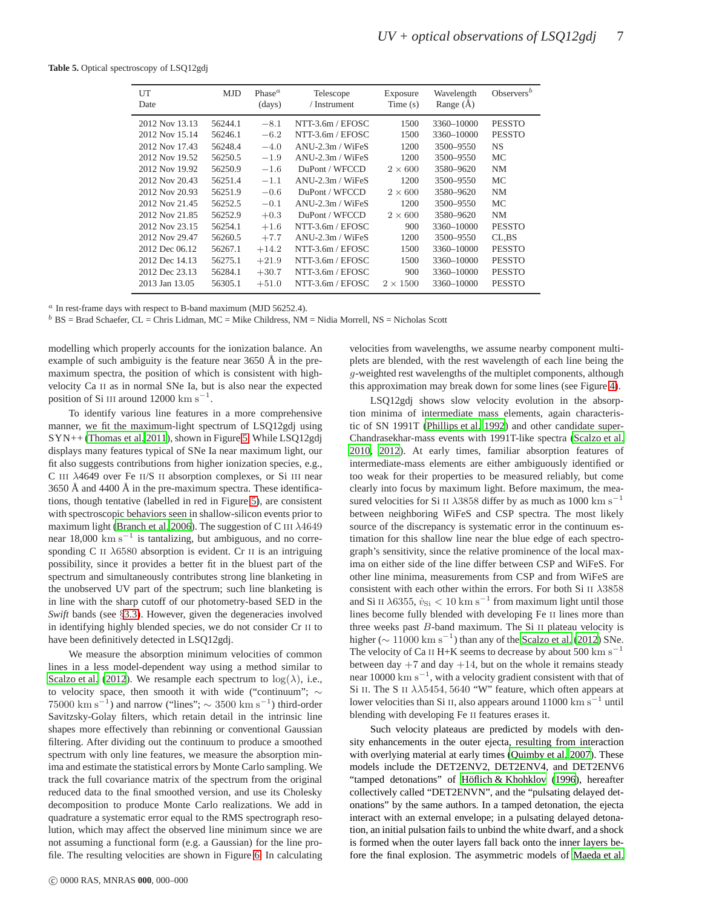<span id="page-6-0"></span>**Table 5.** Optical spectroscopy of LSQ12gdj

| UT<br>Date     | <b>MJD</b> | Phase <sup><math>a</math></sup><br>(days) | Telescope<br>/ Instrument | Exposure<br>Time(s) | Wavelength<br>Range $(\AA)$ | Observers <sup>b</sup> |
|----------------|------------|-------------------------------------------|---------------------------|---------------------|-----------------------------|------------------------|
| 2012 Nov 13.13 | 56244.1    | $-8.1$                                    | NTT-3.6m / EFOSC          | 1500                | 3360-10000                  | <b>PESSTO</b>          |
| 2012 Nov 15.14 | 56246.1    | $-6.2$                                    | NTT-3.6m / EFOSC          | 1500                | 3360-10000                  | <b>PESSTO</b>          |
| 2012 Nov 17.43 | 56248.4    | $-4.0$                                    | $ANU-2.3m / WiFeS$        | 1200                | 3500-9550                   | <b>NS</b>              |
| 2012 Nov 19.52 | 56250.5    | $-1.9$                                    | $ANU-2.3m / WiFeS$        | 1200                | 3500-9550                   | МC                     |
| 2012 Nov 19.92 | 56250.9    | $-1.6$                                    | DuPont / WFCCD            | $2 \times 600$      | 3580-9620                   | <b>NM</b>              |
| 2012 Nov 20.43 | 56251.4    | $-1.1$                                    | $ANU-2.3m / WiFs$         | 1200                | 3500-9550                   | МC                     |
| 2012 Nov 20.93 | 56251.9    | $-0.6$                                    | DuPont / WFCCD            | $2 \times 600$      | 3580-9620                   | <b>NM</b>              |
| 2012 Nov 21.45 | 56252.5    | $-0.1$                                    | $ANU-2.3m / WiFs$         | 1200                | 3500-9550                   | <b>MC</b>              |
| 2012 Nov 21.85 | 56252.9    | $+0.3$                                    | DuPont / WFCCD            | $2\times600$        | 3580-9620                   | NM                     |
| 2012 Nov 23.15 | 56254.1    | $+1.6$                                    | NTT-3.6m / EFOSC          | 900                 | 3360-10000                  | <b>PESSTO</b>          |
| 2012 Nov 29.47 | 56260.5    | $+7.7$                                    | $ANU-2.3m / WiFeS$        | 1200                | 3500-9550                   | CL.BS                  |
| 2012 Dec 06.12 | 56267.1    | $+14.2$                                   | NTT-3.6m / EFOSC          | 1500                | 3360-10000                  | <b>PESSTO</b>          |
| 2012 Dec 14.13 | 56275.1    | $+21.9$                                   | NTT-3.6m / EFOSC          | 1500                | 3360-10000                  | <b>PESSTO</b>          |
| 2012 Dec 23.13 | 56284.1    | $+30.7$                                   | NTT-3.6m / EFOSC          | 900                 | 3360-10000                  | <b>PESSTO</b>          |
| 2013 Jan 13.05 | 56305.1    | $+51.0$                                   | NTT-3.6m / EFOSC          | $2 \times 1500$     | 3360-10000                  | <b>PESSTO</b>          |
|                |            |                                           |                           |                     |                             |                        |

 $a$  In rest-frame days with respect to B-band maximum (MJD 56252.4).

 $b$  BS = Brad Schaefer, CL = Chris Lidman, MC = Mike Childress, NM = Nidia Morrell, NS = Nicholas Scott

modelling which properly accounts for the ionization balance. An example of such ambiguity is the feature near  $3650$  Å in the premaximum spectra, the position of which is consistent with highvelocity Ca II as in normal SNe Ia, but is also near the expected position of Si III around  $12000 \text{ km s}^{-1}$ .

To identify various line features in a more comprehensive manner, we fit the maximum-light spectrum of LSQ12gdj using SYN++ [\(Thomas et al. 2011](#page-17-47)), shown in Figure [5.](#page-9-0) While LSQ12gdj displays many features typical of SNe Ia near maximum light, our fit also suggests contributions from higher ionization species, e.g., C III λ4649 over Fe II/S II absorption complexes, or Si III near  $3650$  Å and  $4400$  Å in the pre-maximum spectra. These identifications, though tentative (labelled in red in Figure [5\)](#page-9-0), are consistent with spectroscopic behaviors seen in shallow-silicon events prior to maximum light [\(Branch et al. 2006\)](#page-16-2). The suggestion of C III  $\lambda$ 4649 near 18,000 km s<sup>-1</sup> is tantalizing, but ambiguous, and no corresponding C II  $\lambda$ 6580 absorption is evident. Cr II is an intriguing possibility, since it provides a better fit in the bluest part of the spectrum and simultaneously contributes strong line blanketing in the unobserved UV part of the spectrum; such line blanketing is in line with the sharp cutoff of our photometry-based SED in the *Swift* bands (see §[3.3\)](#page-10-0). However, given the degeneracies involved in identifying highly blended species, we do not consider Cr II to have been definitively detected in LSQ12gdj.

We measure the absorption minimum velocities of common lines in a less model-dependent way using a method similar to [Scalzo et al. \(2012](#page-17-32)). We resample each spectrum to  $log(\lambda)$ , i.e., to velocity space, then smooth it with wide ("continuum"; ∼ 75000 km s<sup>-1</sup>) and narrow ("lines";  $\sim$  3500 km s<sup>-1</sup>) third-order Savitzsky-Golay filters, which retain detail in the intrinsic line shapes more effectively than rebinning or conventional Gaussian filtering. After dividing out the continuum to produce a smoothed spectrum with only line features, we measure the absorption minima and estimate the statistical errors by Monte Carlo sampling. We track the full covariance matrix of the spectrum from the original reduced data to the final smoothed version, and use its Cholesky decomposition to produce Monte Carlo realizations. We add in quadrature a systematic error equal to the RMS spectrograph resolution, which may affect the observed line minimum since we are not assuming a functional form (e.g. a Gaussian) for the line profile. The resulting velocities are shown in Figure [6.](#page-8-1) In calculating

[2010](#page-17-10), [2012\)](#page-17-32). At early times, familiar absorption features of intermediate-mass elements are either ambiguously identified or too weak for their properties to be measured reliably, but come clearly into focus by maximum light. Before maximum, the measured velocities for Si II  $\lambda$ 3858 differ by as much as 1000 km s<sup>-1</sup> between neighboring WiFeS and CSP spectra. The most likely source of the discrepancy is systematic error in the continuum estimation for this shallow line near the blue edge of each spectrograph's sensitivity, since the relative prominence of the local maxima on either side of the line differ between CSP and WiFeS. For other line minima, measurements from CSP and from WiFeS are consistent with each other within the errors. For both Si II  $\lambda$ 3858 and Si II  $\lambda$ 6355,  $\dot{v}_{\rm Si}$  < 10 km s<sup>-1</sup> from maximum light until those lines become fully blended with developing Fe II lines more than three weeks past B-band maximum. The Si II plateau velocity is higher ( $\sim 11000 \text{ km s}^{-1}$ ) than any of the [Scalzo et al. \(2012\)](#page-17-32) SNe. The velocity of Ca II H+K seems to decrease by about 500  $\text{km s}^{-1}$ between day  $+7$  and day  $+14$ , but on the whole it remains steady near 10000  $\mathrm{km} \, \mathrm{s}^{-1}$ , with a velocity gradient consistent with that of Si II. The S II  $\lambda\lambda$ 5454, 5640 "W" feature, which often appears at lower velocities than Si II, also appears around  $11000 \text{ km s}^{-1}$  until blending with developing Fe II features erases it.

velocities from wavelengths, we assume nearby component multiplets are blended, with the rest wavelength of each line being the g-weighted rest wavelengths of the multiplet components, although this approximation may break down for some lines (see Figure [4\)](#page-8-0). LSQ12gdj shows slow velocity evolution in the absorption minima of intermediate mass elements, again characteristic of SN 1991T [\(Phillips et al. 1992](#page-17-18)) and other candidate super-Chandrasekhar-mass events with 1991T-like spectra [\(Scalzo et al.](#page-17-10)

Such velocity plateaus are predicted by models with density enhancements in the outer ejecta, resulting from interaction with overlying material at early times [\(Quimby et al. 2007](#page-17-48)). These models include the DET2ENV2, DET2ENV4, and DET2ENV6 "tamped detonations" of Höflich & Khohklov (1996), hereafter collectively called "DET2ENVN", and the "pulsating delayed detonations" by the same authors. In a tamped detonation, the ejecta interact with an external envelope; in a pulsating delayed detonation, an initial pulsation fails to unbind the white dwarf, and a shock is formed when the outer layers fall back onto the inner layers before the final explosion. The asymmetric models of [Maeda et al.](#page-17-50)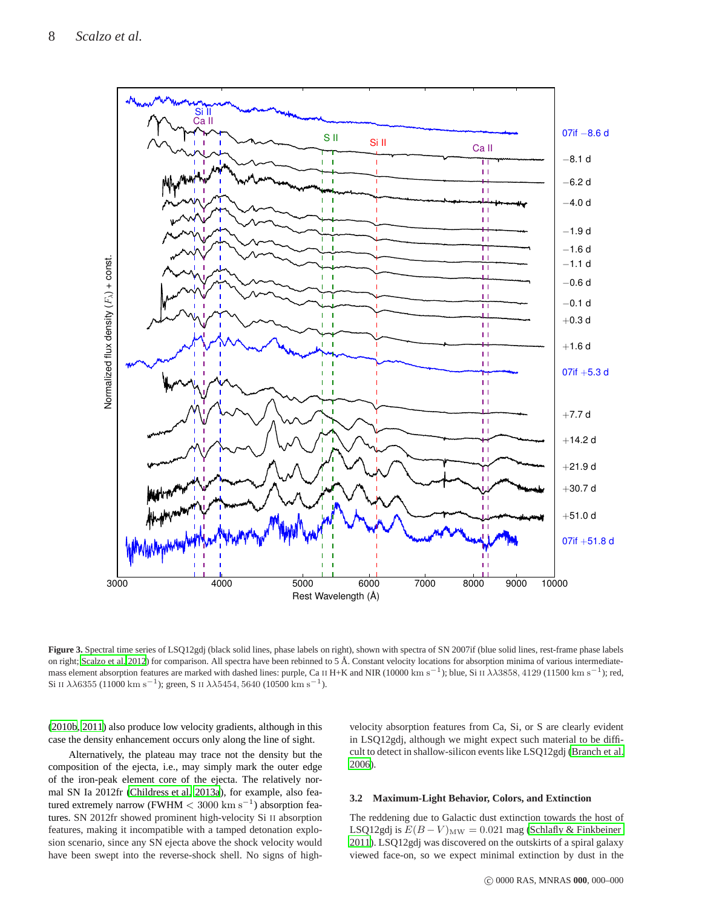

<span id="page-7-0"></span>Figure 3. Spectral time series of LSQ12gdj (black solid lines, phase labels on right), shown with spectra of SN 2007if (blue solid lines, rest-frame phase labels on right; [Scalzo et al. 2012](#page-17-32)) for comparison. All spectra have been rebinned to 5 Å. Constant velocity locations for absorption minima of various intermediatemass element absorption features are marked with dashed lines: purple, Ca II H+K and NIR (10000 km s<sup>−1</sup>); blue, Si II  $\lambda\lambda$ 3858, 4129 (11500 km s<sup>−1</sup>); red, Si II  $\lambda\lambda$ 6355 (11000 km s<sup>-1</sup>); green, S II  $\lambda\lambda$ 5454, 5640 (10500 km s<sup>-1</sup>).

[\(2010b](#page-17-50), [2011\)](#page-17-51) also produce low velocity gradients, although in this case the density enhancement occurs only along the line of sight.

Alternatively, the plateau may trace not the density but the composition of the ejecta, i.e., may simply mark the outer edge of the iron-peak element core of the ejecta. The relatively normal SN Ia 2012fr [\(Childress et al. 2013a](#page-17-52)), for example, also featured extremely narrow (FWHM  $< 3000 \text{ km s}^{-1}$ ) absorption features. SN 2012fr showed prominent high-velocity Si II absorption features, making it incompatible with a tamped detonation explosion scenario, since any SN ejecta above the shock velocity would have been swept into the reverse-shock shell. No signs of high-

velocity absorption features from Ca, Si, or S are clearly evident in LSQ12gdj, although we might expect such material to be difficult to detect in shallow-silicon events like LSQ12gdj [\(Branch et al.](#page-16-2) [2006](#page-16-2)).

#### <span id="page-7-1"></span>**3.2 Maximum-Light Behavior, Colors, and Extinction**

The reddening due to Galactic dust extinction towards the host of LSQ12gdj is  $E(B-V)_{\text{MW}} = 0.021$  mag [\(Schlafly & Finkbeiner](#page-17-53) [2011](#page-17-53)). LSQ12gdj was discovered on the outskirts of a spiral galaxy viewed face-on, so we expect minimal extinction by dust in the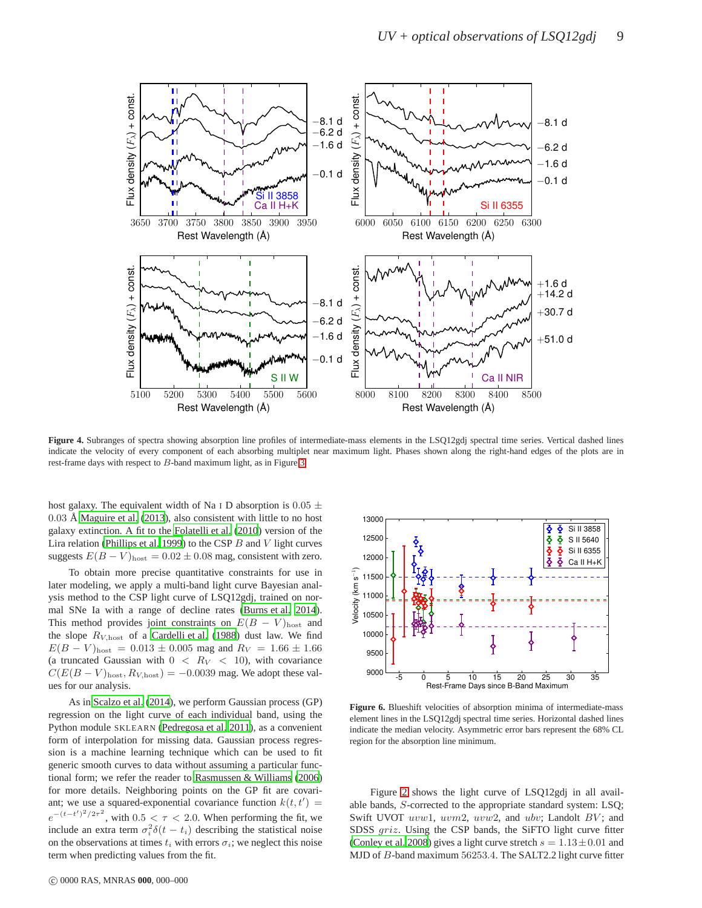

<span id="page-8-0"></span>Figure 4. Subranges of spectra showing absorption line profiles of intermediate-mass elements in the LSQ12gdj spectral time series. Vertical dashed lines indicate the velocity of every component of each absorbing multiplet near maximum light. Phases shown along the right-hand edges of the plots are in rest-frame days with respect to B-band maximum light, as in Figure [3.](#page-7-0)

host galaxy. The equivalent width of Na I D absorption is  $0.05 \pm$  $0.03$  Å [Maguire et al. \(2013\)](#page-17-54), also consistent with little to no host galaxy extinction. A fit to the [Folatelli et al. \(2010](#page-17-7)) version of the Lira relation [\(Phillips et al. 1999](#page-17-5)) to the CSP  $B$  and  $V$  light curves suggests  $E(B - V)_{\text{host}} = 0.02 \pm 0.08$  mag, consistent with zero.

To obtain more precise quantitative constraints for use in later modeling, we apply a multi-band light curve Bayesian analysis method to the CSP light curve of LSQ12gdj, trained on normal SNe Ia with a range of decline rates [\(Burns et al. 2014](#page-17-55)). This method provides joint constraints on  $E(B - V)_{\text{host}}$  and the slope  $R_{V,\text{host}}$  of a [Cardelli et al. \(1988](#page-17-56)) dust law. We find  $E(B - V)_{\text{host}} = 0.013 \pm 0.005$  mag and  $R_V = 1.66 \pm 1.66$ (a truncated Gaussian with  $0 < R_V < 10$ ), with covariance  $C(E(B - V)_{\text{host}}, R_{V,\text{host}}) = -0.0039$  mag. We adopt these values for our analysis.

As in [Scalzo et al. \(2014](#page-17-37)), we perform Gaussian process (GP) regression on the light curve of each individual band, using the Python module SKLEARN [\(Pedregosa et al. 2011](#page-17-57)), as a convenient form of interpolation for missing data. Gaussian process regression is a machine learning technique which can be used to fit generic smooth curves to data without assuming a particular functional form; we refer the reader to [Rasmussen & Williams \(2006](#page-17-36)) for more details. Neighboring points on the GP fit are covariant; we use a squared-exponential covariance function  $k(t, t') =$  $e^{-(t-t')^2/2\tau^2}$ , with  $0.5 < \tau < 2.0$ . When performing the fit, we include an extra term  $\sigma_i^2 \delta(t - t_i)$  describing the statistical noise on the observations at times  $t_i$  with errors  $\sigma_i$ ; we neglect this noise term when predicting values from the fit.



<span id="page-8-1"></span>**Figure 6.** Blueshift velocities of absorption minima of intermediate-mass element lines in the LSQ12gdj spectral time series. Horizontal dashed lines indicate the median velocity. Asymmetric error bars represent the 68% CL region for the absorption line minimum.

Figure [2](#page-2-2) shows the light curve of LSQ12gdj in all available bands, S-corrected to the appropriate standard system: LSQ; Swift UVOT uvw1, uvm2, uvw2, and ubv; Landolt BV; and SDSS griz. Using the CSP bands, the SiFTO light curve fitter [\(Conley et al. 2008](#page-17-58)) gives a light curve stretch  $s = 1.13 \pm 0.01$  and MJD of B-band maximum 56253.4. The SALT2.2 light curve fitter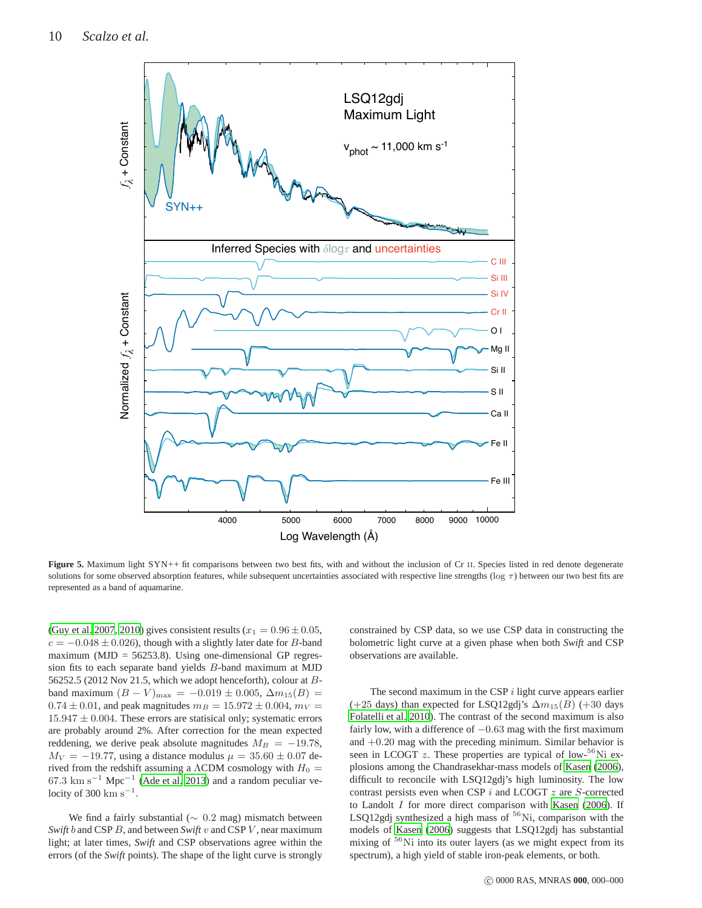

<span id="page-9-0"></span>Figure 5. Maximum light SYN++ fit comparisons between two best fits, with and without the inclusion of Cr II. Species listed in red denote degenerate solutions for some observed absorption features, while subsequent uncertainties associated with respective line strengths ( $\log \tau$ ) between our two best fits are represented as a band of aquamarine.

[\(Guy et al. 2007](#page-17-59), [2010](#page-17-60)) gives consistent results ( $x_1 = 0.96 \pm 0.05$ ,  $c = -0.048 \pm 0.026$ , though with a slightly later date for B-band maximum ( $MJD = 56253.8$ ). Using one-dimensional GP regression fits to each separate band yields B-band maximum at MJD 56252.5 (2012 Nov 21.5, which we adopt henceforth), colour at Bband maximum  $(B - V)_{\text{max}} = -0.019 \pm 0.005$ ,  $\Delta m_{15}(B) =$  $0.74 \pm 0.01$ , and peak magnitudes  $m_B = 15.972 \pm 0.004$ ,  $m_V =$  $15.947 \pm 0.004$ . These errors are statisical only; systematic errors are probably around 2%. After correction for the mean expected reddening, we derive peak absolute magnitudes  $M_B = -19.78$ ,  $M_V = -19.77$ , using a distance modulus  $\mu = 35.60 \pm 0.07$  derived from the redshift assuming a  $\Lambda$ CDM cosmology with  $H_0 =$ 67.3 km s<sup>-1</sup> Mpc<sup>-1</sup> [\(Ade et al. 2013\)](#page-16-15) and a random peculiar velocity of 300  $\mathrm{km}\,\mathrm{s}^{-1}$ .

We find a fairly substantial (∼ 0.2 mag) mismatch between *Swift* b and CSP B, and between *Swift* v and CSP V, near maximum light; at later times, *Swift* and CSP observations agree within the errors (of the *Swift* points). The shape of the light curve is strongly constrained by CSP data, so we use CSP data in constructing the bolometric light curve at a given phase when both *Swift* and CSP observations are available.

The second maximum in the CSP  $i$  light curve appears earlier (+25 days) than expected for LSQ12gdj's  $\Delta m_{15}(B)$  (+30 days [Folatelli et al. 2010](#page-17-7)). The contrast of the second maximum is also fairly low, with a difference of  $-0.63$  mag with the first maximum and  $+0.20$  mag with the preceding minimum. Similar behavior is seen in LCOGT  $z$ . These properties are typical of low-<sup>56</sup>Ni explosions among the Chandrasekhar-mass models of [Kasen \(2006](#page-17-61)), difficult to reconcile with LSQ12gdj's high luminosity. The low contrast persists even when CSP  $i$  and LCOGT  $z$  are  $S$ -corrected to Landolt  $I$  for more direct comparison with [Kasen \(2006](#page-17-61)). If LSQ12gdj synthesized a high mass of  $56$ Ni, comparison with the models of [Kasen \(2006](#page-17-61)) suggests that LSQ12gdj has substantial mixing of  $56$ Ni into its outer layers (as we might expect from its spectrum), a high yield of stable iron-peak elements, or both.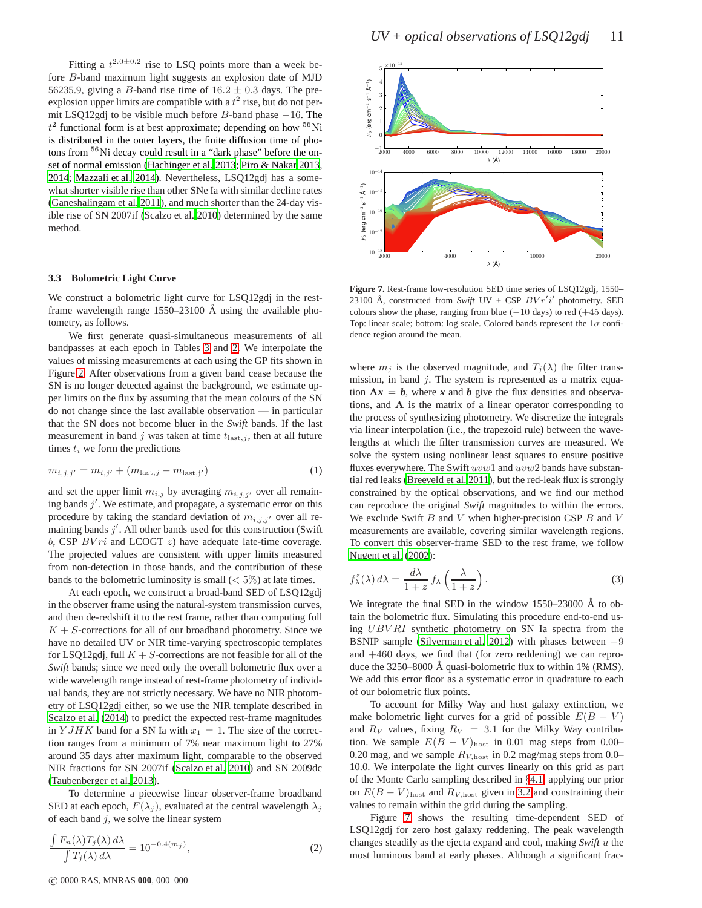Fitting a  $t^{2.0\pm0.2}$  rise to LSQ points more than a week before B-band maximum light suggests an explosion date of MJD 56235.9, giving a B-band rise time of  $16.2 \pm 0.3$  days. The preexplosion upper limits are compatible with a  $t^2$  rise, but do not permit LSQ12gdj to be visible much before  $B$ -band phase  $-16$ . The  $t^2$  functional form is at best approximate; depending on how  ${}^{56}$ Ni is distributed in the outer layers, the finite diffusion time of photons from <sup>56</sup>Ni decay could result in a "dark phase" before the onset of normal emission [\(Hachinger et al. 2013;](#page-17-62) [Piro & Nakar 2013](#page-17-63), [2014](#page-17-64); [Mazzali et al. 2014\)](#page-17-65). Nevertheless, LSQ12gdj has a somewhat shorter visible rise than other SNe Ia with similar decline rates [\(Ganeshalingam et al. 2011](#page-17-66)), and much shorter than the 24-day visible rise of SN 2007if [\(Scalzo et al. 2010\)](#page-17-10) determined by the same method.

#### <span id="page-10-0"></span>**3.3 Bolometric Light Curve**

We construct a bolometric light curve for LSQ12gdj in the restframe wavelength range  $1550-23100$  Å using the available photometry, as follows.

We first generate quasi-simultaneous measurements of all bandpasses at each epoch in Tables [3](#page-5-0) and [2.](#page-4-0) We interpolate the values of missing measurements at each using the GP fits shown in Figure [2.](#page-2-2) After observations from a given band cease because the SN is no longer detected against the background, we estimate upper limits on the flux by assuming that the mean colours of the SN do not change since the last available observation — in particular that the SN does not become bluer in the *Swift* bands. If the last measurement in band j was taken at time  $t_{\text{last},j}$ , then at all future times  $t_i$  we form the predictions

$$
m_{i,j,j'} = m_{i,j'} + (m_{\text{last},j} - m_{\text{last},j'})
$$
 (1)

and set the upper limit  $m_{i,j}$  by averaging  $m_{i,j,j'}$  over all remaining bands  $j'$ . We estimate, and propagate, a systematic error on this procedure by taking the standard deviation of  $m_{i,j,j'}$  over all remaining bands  $j'$ . All other bands used for this construction (Swift b, CSP  $BVri$  and LCOGT  $z$ ) have adequate late-time coverage. The projected values are consistent with upper limits measured from non-detection in those bands, and the contribution of these bands to the bolometric luminosity is small  $(< 5\%)$  at late times.

At each epoch, we construct a broad-band SED of LSQ12gdj in the observer frame using the natural-system transmission curves, and then de-redshift it to the rest frame, rather than computing full  $K + S$ -corrections for all of our broadband photometry. Since we have no detailed UV or NIR time-varying spectroscopic templates for LSQ12gdj, full  $K + S$ -corrections are not feasible for all of the *Swift* bands; since we need only the overall bolometric flux over a wide wavelength range instead of rest-frame photometry of individual bands, they are not strictly necessary. We have no NIR photometry of LSQ12gdj either, so we use the NIR template described in [Scalzo et al. \(2014](#page-17-37)) to predict the expected rest-frame magnitudes in Y JHK band for a SN Ia with  $x_1 = 1$ . The size of the correction ranges from a minimum of 7% near maximum light to 27% around 35 days after maximum light, comparable to the observed NIR fractions for SN 2007if [\(Scalzo et al. 2010\)](#page-17-10) and SN 2009dc [\(Taubenberger et al. 2013\)](#page-17-20).

To determine a piecewise linear observer-frame broadband SED at each epoch,  $F(\lambda_j)$ , evaluated at the central wavelength  $\lambda_j$ of each band  $j$ , we solve the linear system

$$
\frac{\int F_n(\lambda) T_j(\lambda) d\lambda}{\int T_j(\lambda) d\lambda} = 10^{-0.4(m_j)},
$$
\n(2)



<span id="page-10-1"></span>**Figure 7.** Rest-frame low-resolution SED time series of LSQ12gdj, 1550– 23100 Å, constructed from Swift UV + CSP  $Bvr'i'$  photometry. SED colours show the phase, ranging from blue  $(-10 \text{ days})$  to red  $(+45 \text{ days})$ . Top: linear scale; bottom: log scale. Colored bands represent the  $1\sigma$  confidence region around the mean.

where  $m_j$  is the observed magnitude, and  $T_j(\lambda)$  the filter transmission, in band  $j$ . The system is represented as a matrix equation  $Ax = b$ , where x and b give the flux densities and observations, and A is the matrix of a linear operator corresponding to the process of synthesizing photometry. We discretize the integrals via linear interpolation (i.e., the trapezoid rule) between the wavelengths at which the filter transmission curves are measured. We solve the system using nonlinear least squares to ensure positive fluxes everywhere. The Swift  $uvw1$  and  $uvw2$  bands have substantial red leaks [\(Breeveld et al. 2011](#page-16-14)), but the red-leak flux is strongly constrained by the optical observations, and we find our method can reproduce the original *Swift* magnitudes to within the errors. We exclude Swift  $B$  and  $V$  when higher-precision CSP  $B$  and  $V$ measurements are available, covering similar wavelength regions. To convert this observer-frame SED to the rest frame, we follow [Nugent et al. \(2002](#page-17-67)):

$$
f_{\lambda}^{z}(\lambda) d\lambda = \frac{d\lambda}{1+z} f_{\lambda} \left( \frac{\lambda}{1+z} \right).
$$
 (3)

We integrate the final SED in the window  $1550-23000$  Å to obtain the bolometric flux. Simulating this procedure end-to-end using UBV RI synthetic photometry on SN Ia spectra from the BSNIP sample [\(Silverman et al. 2012](#page-17-68)) with phases between −9 and  $+460$  days, we find that (for zero reddening) we can reproduce the  $3250-8000$  Å quasi-bolometric flux to within 1% (RMS). We add this error floor as a systematic error in quadrature to each of our bolometric flux points.

To account for Milky Way and host galaxy extinction, we make bolometric light curves for a grid of possible  $E(B - V)$ and  $R_V$  values, fixing  $R_V = 3.1$  for the Milky Way contribution. We sample  $E(B - V)_{\text{host}}$  in 0.01 mag steps from 0.00– 0.20 mag, and we sample  $R_{V,\text{host}}$  in 0.2 mag/mag steps from 0.0– 10.0. We interpolate the light curves linearly on this grid as part of the Monte Carlo sampling described in §[4.1,](#page-11-0) applying our prior on  $E(B - V)_{\text{host}}$  and  $R_{V,\text{host}}$  given in [3.2](#page-7-1) and constraining their values to remain within the grid during the sampling.

Figure [7](#page-10-1) shows the resulting time-dependent SED of LSQ12gdj for zero host galaxy reddening. The peak wavelength changes steadily as the ejecta expand and cool, making *Swift* u the most luminous band at early phases. Although a significant frac-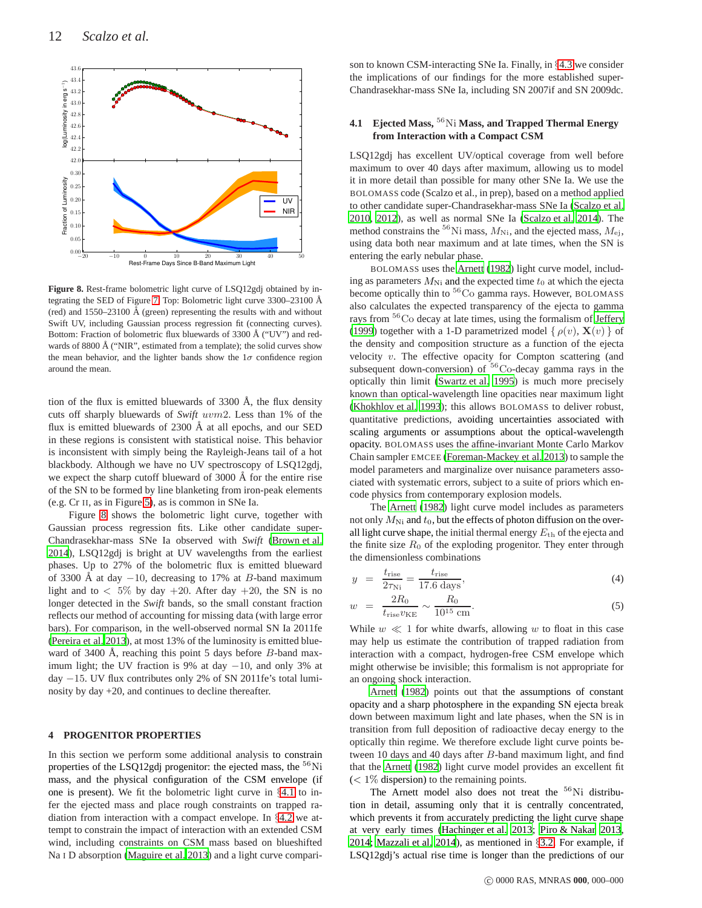

<span id="page-11-1"></span>**Figure 8.** Rest-frame bolometric light curve of LSQ12gdj obtained by in-tegrating the SED of Figure [7.](#page-10-1) Top: Bolometric light curve 3300–23100 Å (red) and  $1550-23100 \text{ Å}$  (green) representing the results with and without Swift UV, including Gaussian process regression fit (connecting curves). Bottom: Fraction of bolometric flux bluewards of 3300 Å ("UV") and redwards of 8800 Å ("NIR", estimated from a template); the solid curves show the mean behavior, and the lighter bands show the  $1\sigma$  confidence region around the mean.

tion of the flux is emitted bluewards of  $3300 \text{ Å}$ , the flux density cuts off sharply bluewards of *Swift* uvm2. Less than 1% of the flux is emitted bluewards of  $2300 \text{ Å}$  at all epochs, and our SED in these regions is consistent with statistical noise. This behavior is inconsistent with simply being the Rayleigh-Jeans tail of a hot blackbody. Although we have no UV spectroscopy of LSQ12gdj, we expect the sharp cutoff blueward of  $3000 \text{ Å}$  for the entire rise of the SN to be formed by line blanketing from iron-peak elements (e.g. Cr II, as in Figure [5\)](#page-9-0), as is common in SNe Ia.

Figure [8](#page-11-1) shows the bolometric light curve, together with Gaussian process regression fits. Like other candidate super-Chandrasekhar-mass SNe Ia observed with *Swift* [\(Brown et al.](#page-16-6) [2014\)](#page-16-6), LSQ12gdj is bright at UV wavelengths from the earliest phases. Up to 27% of the bolometric flux is emitted blueward of 3300 Å at day  $-10$ , decreasing to 17% at B-band maximum light and to  $\langle 5\%$  by day  $+20$ . After day  $+20$ , the SN is no longer detected in the *Swift* bands, so the small constant fraction reflects our method of accounting for missing data (with large error bars). For comparison, in the well-observed normal SN Ia 2011fe [\(Pereira et al. 2013](#page-17-69)), at most 13% of the luminosity is emitted blueward of 3400 Å, reaching this point 5 days before  $B$ -band maximum light; the UV fraction is 9% at day −10, and only 3% at day −15. UV flux contributes only 2% of SN 2011fe's total luminosity by day +20, and continues to decline thereafter.

#### **4 PROGENITOR PROPERTIES**

In this section we perform some additional analysis to constrain properties of the LSQ12gdj progenitor: the ejected mass, the <sup>56</sup>Ni mass, and the physical configuration of the CSM envelope (if one is present). We fit the bolometric light curve in §[4.1](#page-11-0) to infer the ejected mass and place rough constraints on trapped radiation from interaction with a compact envelope. In §[4.2](#page-13-0) we attempt to constrain the impact of interaction with an extended CSM wind, including constraints on CSM mass based on blueshifted Na I D absorption [\(Maguire et al. 2013\)](#page-17-54) and a light curve comparison to known CSM-interacting SNe Ia. Finally, in §[4.3](#page-15-0) we consider the implications of our findings for the more established super-Chandrasekhar-mass SNe Ia, including SN 2007if and SN 2009dc.

## <span id="page-11-0"></span>**4.1 Ejected Mass,** <sup>56</sup>Ni **Mass, and Trapped Thermal Energy from Interaction with a Compact CSM**

LSQ12gdj has excellent UV/optical coverage from well before maximum to over 40 days after maximum, allowing us to model it in more detail than possible for many other SNe Ia. We use the BOLOMASS code (Scalzo et al., in prep), based on a method applied to other candidate super-Chandrasekhar-mass SNe Ia [\(Scalzo et al.](#page-17-10) [2010](#page-17-10), [2012](#page-17-32)), as well as normal SNe Ia [\(Scalzo et al. 2014\)](#page-17-37). The method constrains the <sup>56</sup>Ni mass,  $M_{\text{Ni}}$ , and the ejected mass,  $M_{\text{ej}}$ , using data both near maximum and at late times, when the SN is entering the early nebular phase.

BOLOMASS uses the [Arnett](#page-16-7) [\(1982](#page-16-7)) light curve model, including as parameters  $M_{\text{Ni}}$  and the expected time  $t_0$  at which the ejecta become optically thin to  ${}^{56}Co$  gamma rays. However, BOLOMASS also calculates the expected transparency of the ejecta to gamma rays from <sup>56</sup>Co decay at late times, using the formalism of [Jeffery](#page-17-70) [\(1999](#page-17-70)) together with a 1-D parametrized model {  $\rho(v)$ ,  $\mathbf{X}(v)$  } of the density and composition structure as a function of the ejecta velocity  $v$ . The effective opacity for Compton scattering (and subsequent down-conversion) of  $56C_0$ -decay gamma rays in the optically thin limit [\(Swartz et al. 1995\)](#page-17-71) is much more precisely known than optical-wavelength line opacities near maximum light [\(Khokhlov et al. 1993](#page-17-21)); this allows BOLOMASS to deliver robust, quantitative predictions, avoiding uncertainties associated with scaling arguments or assumptions about the optical-wavelength opacity. BOLOMASS uses the affine-invariant Monte Carlo Markov Chain sampler EMCEE [\(Foreman-Mackey et al. 2013](#page-17-72)) to sample the model parameters and marginalize over nuisance parameters associated with systematic errors, subject to a suite of priors which encode physics from contemporary explosion models.

The [Arnett \(1982](#page-16-7)) light curve model includes as parameters not only  $M_{\text{Ni}}$  and  $t_0$ , but the effects of photon diffusion on the overall light curve shape, the initial thermal energy  $E_{th}$  of the ejecta and the finite size  $R_0$  of the exploding progenitor. They enter through the dimensionless combinations

$$
y = \frac{t_{\text{rise}}}{2\tau_{\text{Ni}}} = \frac{t_{\text{rise}}}{17.6 \text{ days}},\tag{4}
$$

$$
w = \frac{2R_0}{t_{\text{rise}}v_{\text{KE}}} \sim \frac{R_0}{10^{15} \text{ cm}}.
$$
 (5)

While  $w \ll 1$  for white dwarfs, allowing w to float in this case may help us estimate the contribution of trapped radiation from interaction with a compact, hydrogen-free CSM envelope which might otherwise be invisible; this formalism is not appropriate for an ongoing shock interaction.

[Arnett \(1982](#page-16-7)) points out that the assumptions of constant opacity and a sharp photosphere in the expanding SN ejecta break down between maximum light and late phases, when the SN is in transition from full deposition of radioactive decay energy to the optically thin regime. We therefore exclude light curve points between 10 days and 40 days after B-band maximum light, and find that the [Arnett](#page-16-7) [\(1982](#page-16-7)) light curve model provides an excellent fit  $(< 1\%$  dispersion) to the remaining points.

The Arnett model also does not treat the  $56Ni$  distribution in detail, assuming only that it is centrally concentrated, which prevents it from accurately predicting the light curve shape at very early times [\(Hachinger et al. 2013](#page-17-62); [Piro & Nakar 2013](#page-17-63), [2014](#page-17-64); [Mazzali et al. 2014](#page-17-65)), as mentioned in §[3.2.](#page-7-1) For example, if LSQ12gdj's actual rise time is longer than the predictions of our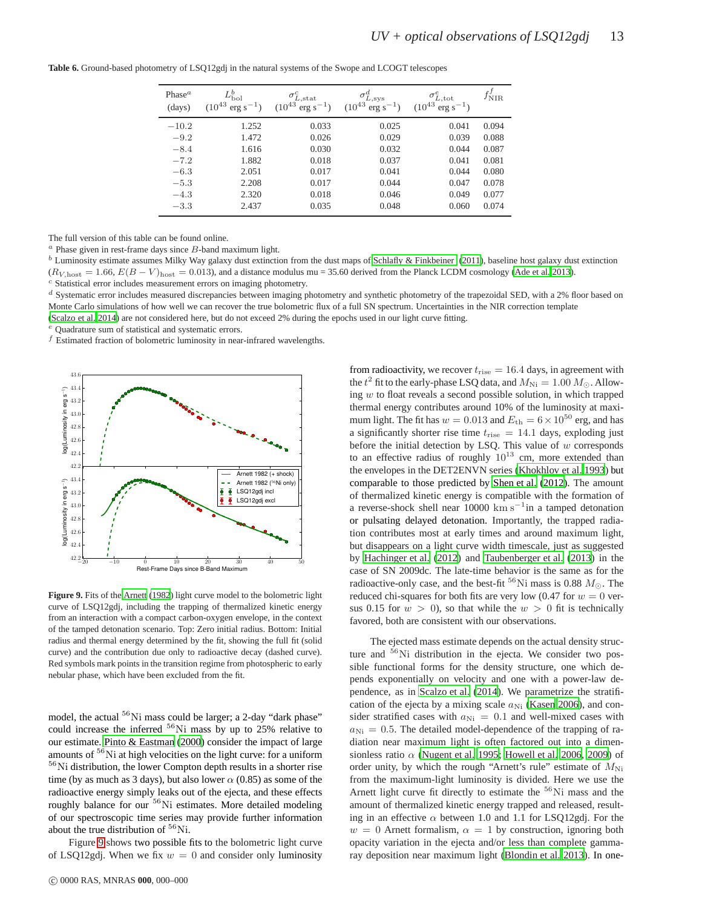| Phase <sup><math>a</math></sup><br>(days) | $L_{\rm bol}^b$<br>$(10^{43})$<br>$erg s^{-1}$ ) | $\sigma_{L,\rm stat}^{c}$<br>$(10^{43}$<br>$erg s^{-1}$ ) | $\sigma_{L,\rm sys}^{d}$<br>$(10^{43}$<br>$erg s^{-1}$ ) | $\sigma^e_{L,\text{tot}}$<br>$(10^{43}$<br>$erg s^{-1}$ ) | $J_{\rm\,NIR}$ |
|-------------------------------------------|--------------------------------------------------|-----------------------------------------------------------|----------------------------------------------------------|-----------------------------------------------------------|----------------|
| $-10.2$                                   | 1.252                                            | 0.033                                                     | 0.025                                                    | 0.041                                                     | 0.094          |
| $-9.2$                                    | 1.472                                            | 0.026                                                     | 0.029                                                    | 0.039                                                     | 0.088          |
| $-8.4$                                    | 1.616                                            | 0.030                                                     | 0.032                                                    | 0.044                                                     | 0.087          |
| $-7.2$                                    | 1.882                                            | 0.018                                                     | 0.037                                                    | 0.041                                                     | 0.081          |
| $-6.3$                                    | 2.051                                            | 0.017                                                     | 0.041                                                    | 0.044                                                     | 0.080          |
| $-5.3$                                    | 2.208                                            | 0.017                                                     | 0.044                                                    | 0.047                                                     | 0.078          |
| $-4.3$                                    | 2.320                                            | 0.018                                                     | 0.046                                                    | 0.049                                                     | 0.077          |
| $-3.3$                                    | 2.437                                            | 0.035                                                     | 0.048                                                    | 0.060                                                     | 0.074          |
|                                           |                                                  |                                                           |                                                          |                                                           |                |

**Table 6.** Ground-based photometry of LSQ12gdj in the natural systems of the Swope and LCOGT telescopes

The full version of this table can be found online.

 $a$  Phase given in rest-frame days since  $B$ -band maximum light.

 $<sup>b</sup>$  Luminosity estimate assumes Milky Way galaxy dust extinction from the dust maps of [Schlafly & Finkbeiner \(2011](#page-17-53)), baseline host galaxy dust extinction</sup>  $(R_{V, \text{host}} = 1.66, E(B - V)_{\text{host}} = 0.013)$ , and a distance modulus mu = 35.60 derived from the Planck LCDM cosmology [\(Ade et al. 2013\)](#page-16-15).

<sup>c</sup> Statistical error includes measurement errors on imaging photometry.

 $d$  Systematic error includes measured discrepancies between imaging photometry and synthetic photometry of the trapezoidal SED, with a 2% floor based on Monte Carlo simulations of how well we can recover the true bolometric flux of a full SN spectrum. Uncertainties in the NIR correction template [\(Scalzo et al. 2014](#page-17-37)) are not considered here, but do not exceed 2% during the epochs used in our light curve fitting.

<sup>e</sup> Quadrature sum of statistical and systematic errors.

 $\boldsymbol{f}$  Estimated fraction of bolometric luminosity in near-infrared wavelengths.



<span id="page-12-0"></span>**Figure 9.** Fits of the [Arnett \(1982\)](#page-16-7) light curve model to the bolometric light curve of LSQ12gdj, including the trapping of thermalized kinetic energy from an interaction with a compact carbon-oxygen envelope, in the context of the tamped detonation scenario. Top: Zero initial radius. Bottom: Initial radius and thermal energy determined by the fit, showing the full fit (solid curve) and the contribution due only to radioactive decay (dashed curve). Red symbols mark points in the transition regime from photospheric to early nebular phase, which have been excluded from the fit.

model, the actual  ${}^{56}$ Ni mass could be larger; a 2-day "dark phase" could increase the inferred  ${}^{56}$ Ni mass by up to 25% relative to our estimate. [Pinto & Eastman](#page-17-73) [\(2000](#page-17-73)) consider the impact of large amounts of <sup>56</sup>Ni at high velocities on the light curve: for a uniform  $56$ Ni distribution, the lower Compton depth results in a shorter rise time (by as much as 3 days), but also lower  $\alpha$  (0.85) as some of the radioactive energy simply leaks out of the ejecta, and these effects roughly balance for our <sup>56</sup>Ni estimates. More detailed modeling of our spectroscopic time series may provide further information about the true distribution of  ${}^{56}$ Ni.

Figure [9](#page-12-0) shows two possible fits to the bolometric light curve of LSQ12gdj. When we fix  $w = 0$  and consider only luminosity

from radioactivity, we recover  $t_{\text{rise}} = 16.4$  days, in agreement with the  $t^2$  fit to the early-phase LSQ data, and  $M_{\rm Ni} = 1.00~M_\odot.$  Allowing  $w$  to float reveals a second possible solution, in which trapped thermal energy contributes around 10% of the luminosity at maximum light. The fit has  $w = 0.013$  and  $E_{\text{th}} = 6 \times 10^{50}$  erg, and has a significantly shorter rise time  $t_{\text{rise}} = 14.1$  days, exploding just before the initial detection by LSQ. This value of  $w$  corresponds to an effective radius of roughly  $10^{13}$  cm, more extended than the envelopes in the DET2ENVN series [\(Khokhlov et al. 1993\)](#page-17-21) but comparable to those predicted by [Shen et al. \(2012](#page-17-30)). The amount of thermalized kinetic energy is compatible with the formation of a reverse-shock shell near  $10000 \text{ km s}^{-1}$ in a tamped detonation or pulsating delayed detonation. Importantly, the trapped radiation contributes most at early times and around maximum light, but disappears on a light curve width timescale, just as suggested by [Hachinger et al. \(2012](#page-17-28)) and [Taubenberger et al. \(2013\)](#page-17-20) in the case of SN 2009dc. The late-time behavior is the same as for the radioactive-only case, and the best-fit <sup>56</sup>Ni mass is 0.88  $M_{\odot}$ . The reduced chi-squares for both fits are very low (0.47 for  $w = 0$  versus 0.15 for  $w > 0$ , so that while the  $w > 0$  fit is technically favored, both are consistent with our observations.

The ejected mass estimate depends on the actual density structure and  $56$ Ni distribution in the ejecta. We consider two possible functional forms for the density structure, one which depends exponentially on velocity and one with a power-law dependence, as in [Scalzo et al. \(2014](#page-17-37)). We parametrize the stratification of the ejecta by a mixing scale  $a_{\text{Ni}}$  [\(Kasen 2006\)](#page-17-61), and consider stratified cases with  $a_{\text{Ni}} = 0.1$  and well-mixed cases with  $a_{\text{Ni}} = 0.5$ . The detailed model-dependence of the trapping of radiation near maximum light is often factored out into a dimensionless ratio  $\alpha$  [\(Nugent et al. 1995](#page-17-74); [Howell et al. 2006](#page-17-9), [2009\)](#page-17-75) of order unity, by which the rough "Arnett's rule" estimate of  $M_{\text{Ni}}$ from the maximum-light luminosity is divided. Here we use the Arnett light curve fit directly to estimate the <sup>56</sup>Ni mass and the amount of thermalized kinetic energy trapped and released, resulting in an effective  $\alpha$  between 1.0 and 1.1 for LSQ12gdj. For the  $w = 0$  Arnett formalism,  $\alpha = 1$  by construction, ignoring both opacity variation in the ejecta and/or less than complete gammaray deposition near maximum light [\(Blondin et al. 2013](#page-16-16)). In one-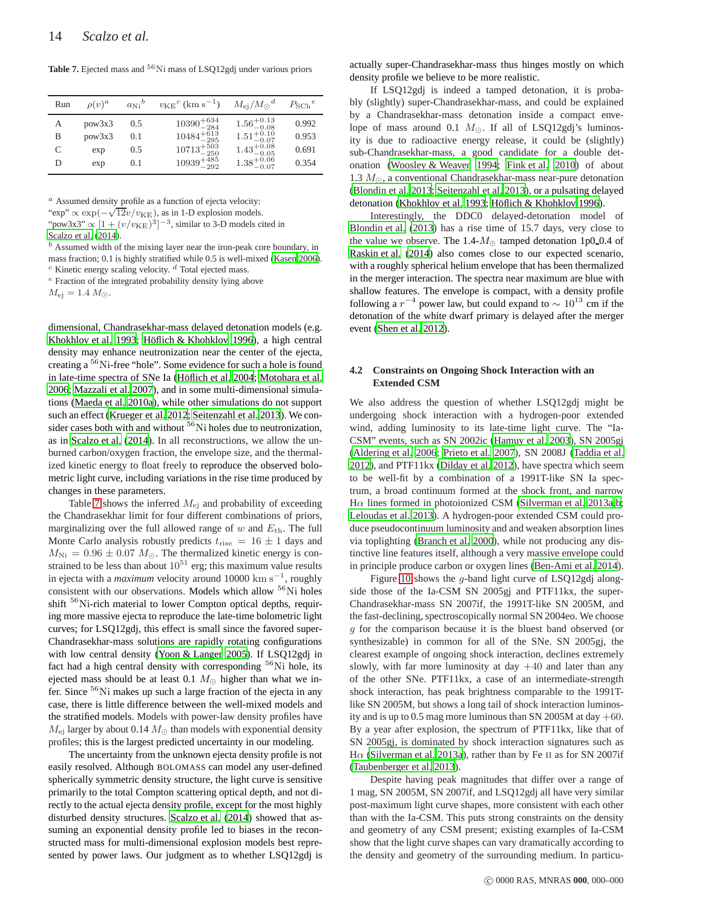<span id="page-13-1"></span>Table 7. Ejected mass and <sup>56</sup>Ni mass of LSQ12gdj under various priors

| Run | $\rho(v)^a$ | $a_{\text{Ni}}^{\text{b}}$ | $v_{\rm KE}^{\ c}$ (km s <sup>-1</sup> ) | $M_{\rm ei}/M_{\odot}{}^d$ | $P_{\text{SCh}}^{\text{}}e$ |
|-----|-------------|----------------------------|------------------------------------------|----------------------------|-----------------------------|
| А   | pow3x3      | 0.5                        | $10390^{+634}_{-284}$                    | $1.56^{+0.13}_{-0.08}$     | 0.992                       |
| B   | pow3x3      | 0.1                        | $10484^{+613}_{-295}$                    | $1.51^{+0.10}_{-0.07}$     | 0.953                       |
| C   | exp         | 0.5                        | $10713^{+503}_{-250}$                    | $1.43^{+0.08}_{-0.05}$     | 0.691                       |
| D   | exp         | 0.1                        | $10939^{+485}_{-292}$                    | $1.38^{+0.06}_{-0.07}$     | 0.354                       |

 $a$  Assumed density profile as a function of ejecta velocity:

"exp"  $\propto \exp(-\sqrt{12v/v_{\rm KE}})$ , as in 1-D explosion models.

"pow3x3"  $\propto [1 + (v/v_{KE})^3]^{-3}$ , similar to 3-D models cited in

[Scalzo et al. \(2014](#page-17-37)).

 $<sup>b</sup>$  Assumed width of the mixing layer near the iron-peak core boundary, in</sup> mass fraction; 0.1 is highly stratified while 0.5 is well-mixed [\(Kasen 2006](#page-17-61)).  $c$  Kinetic energy scaling velocity.  $d$  Total ejected mass.

<sup>e</sup> Fraction of the integrated probability density lying above

 $M_{\rm ei} = 1.4 M_{\odot}.$ 

dimensional, Chandrasekhar-mass delayed detonation models (e.g. [Khokhlov et al. 1993](#page-17-21); Höflich & Khohklov 1996), a high central density may enhance neutronization near the center of the ejecta, creating a <sup>56</sup>Ni-free "hole". Some evidence for such a hole is found in late-time spectra of SNe Ia (Höflich et al. 2004; [Motohara](#page-17-77) et al. [2006;](#page-17-77) [Mazzali et al. 2007](#page-17-78)), and in some multi-dimensional simulations [\(Maeda et al. 2010a](#page-17-79)), while other simulations do not support such an effect [\(Krueger et al. 2012;](#page-17-80) [Seitenzahl et al. 2013\)](#page-17-81). We consider cases both with and without  ${}^{56}$ Ni holes due to neutronization, as in [Scalzo et al.](#page-17-37) [\(2014](#page-17-37)). In all reconstructions, we allow the unburned carbon/oxygen fraction, the envelope size, and the thermalized kinetic energy to float freely to reproduce the observed bolometric light curve, including variations in the rise time produced by changes in these parameters.

Table [7](#page-13-1) shows the inferred  $M_{ej}$  and probability of exceeding the Chandrasekhar limit for four different combinations of priors, marginalizing over the full allowed range of  $w$  and  $E_{th}$ . The full Monte Carlo analysis robustly predicts  $t_{\text{rise}} = 16 \pm 1$  days and  $M_{\text{Ni}} = 0.96 \pm 0.07 M_{\odot}$ . The thermalized kinetic energy is constrained to be less than about  $10^{51}$  erg; this maximum value results in ejecta with a *maximum* velocity around 10000 km s<sup>−</sup><sup>1</sup> , roughly consistent with our observations. Models which allow  $56$ Ni holes shift <sup>56</sup>Ni-rich material to lower Compton optical depths, requiring more massive ejecta to reproduce the late-time bolometric light curves; for LSQ12gdj, this effect is small since the favored super-Chandrasekhar-mass solutions are rapidly rotating configurations with low central density [\(Yoon & Langer 2005](#page-17-82)). If LSQ12gdj in fact had a high central density with corresponding  $56\,\mathrm{Ni}$  hole, its ejected mass should be at least 0.1  $M_{\odot}$  higher than what we infer. Since  ${}^{56}$ Ni makes up such a large fraction of the ejecta in any case, there is little difference between the well-mixed models and the stratified models. Models with power-law density profiles have  $M_{\rm ei}$  larger by about 0.14  $M_{\odot}$  than models with exponential density profiles; this is the largest predicted uncertainty in our modeling.

The uncertainty from the unknown ejecta density profile is not easily resolved. Although BOLOMASS can model any user-defined spherically symmetric density structure, the light curve is sensitive primarily to the total Compton scattering optical depth, and not directly to the actual ejecta density profile, except for the most highly disturbed density structures. [Scalzo et al. \(2014\)](#page-17-37) showed that assuming an exponential density profile led to biases in the reconstructed mass for multi-dimensional explosion models best represented by power laws. Our judgment as to whether LSQ12gdj is actually super-Chandrasekhar-mass thus hinges mostly on which density profile we believe to be more realistic.

If LSQ12gdj is indeed a tamped detonation, it is probably (slightly) super-Chandrasekhar-mass, and could be explained by a Chandrasekhar-mass detonation inside a compact envelope of mass around 0.1  $M_{\odot}$ . If all of LSQ12gdj's luminosity is due to radioactive energy release, it could be (slightly) sub-Chandrasekhar-mass, a good candidate for a double detonation [\(Woosley & Weaver 1994;](#page-17-83) [Fink et al. 2010](#page-17-84)) of about 1.3  $M_{\odot}$ , a conventional Chandrasekhar-mass near-pure detonation [\(Blondin et al. 2013;](#page-16-16) [Seitenzahl et al. 2013](#page-17-81)), or a pulsating delayed detonation [\(Khokhlov et al. 1993;](#page-17-21) Höflich & Khohklov 1996).

Interestingly, the DDC0 delayed-detonation model of [Blondin et al. \(2013](#page-16-16)) has a rise time of 15.7 days, very close to the value we observe. The 1.4- $M_{\odot}$  tamped detonation 1p0 0.4 of [Raskin et al. \(2014\)](#page-17-85) also comes close to our expected scenario, with a roughly spherical helium envelope that has been thermalized in the merger interaction. The spectra near maximum are blue with shallow features. The envelope is compact, with a density profile following a  $r^{-4}$  power law, but could expand to  $\sim 10^{13}$  cm if the detonation of the white dwarf primary is delayed after the merger event [\(Shen et al. 2012](#page-17-30)).

#### <span id="page-13-0"></span>**4.2 Constraints on Ongoing Shock Interaction with an Extended CSM**

We also address the question of whether LSQ12gdj might be undergoing shock interaction with a hydrogen-poor extended wind, adding luminosity to its late-time light curve. The "Ia-CSM" events, such as SN 2002ic [\(Hamuy et al. 2003](#page-17-86)), SN 2005gj [\(Aldering et al. 2006;](#page-16-17) [Prieto et al. 2007](#page-17-87)), SN 2008J [\(Taddia et al.](#page-17-88) [2012](#page-17-88)), and PTF11kx [\(Dilday et al. 2012](#page-17-89)), have spectra which seem to be well-fit by a combination of a 1991T-like SN Ia spectrum, a broad continuum formed at the shock front, and narrow H $\alpha$  lines formed in photoionized CSM [\(Silverman et al. 2013a](#page-17-90)[,b;](#page-17-91) [Leloudas et al. 2013](#page-17-92)). A hydrogen-poor extended CSM could produce pseudocontinuum luminosity and and weaken absorption lines via toplighting [\(Branch et al. 2000](#page-16-18)), while not producing any distinctive line features itself, although a very massive envelope could in principle produce carbon or oxygen lines [\(Ben-Ami et al. 2014](#page-16-19)).

Figure [10](#page-14-0) shows the g-band light curve of LSQ12gdj alongside those of the Ia-CSM SN 2005gj and PTF11kx, the super-Chandrasekhar-mass SN 2007if, the 1991T-like SN 2005M, and the fast-declining, spectroscopically normal SN 2004eo. We choose g for the comparison because it is the bluest band observed (or synthesizable) in common for all of the SNe. SN 2005gj, the clearest example of ongoing shock interaction, declines extremely slowly, with far more luminosity at day  $+40$  and later than any of the other SNe. PTF11kx, a case of an intermediate-strength shock interaction, has peak brightness comparable to the 1991Tlike SN 2005M, but shows a long tail of shock interaction luminosity and is up to 0.5 mag more luminous than SN 2005M at day  $+60$ . By a year after explosion, the spectrum of PTF11kx, like that of SN 2005gj, is dominated by shock interaction signatures such as H $\alpha$  [\(Silverman et al. 2013a\)](#page-17-90), rather than by Fe II as for SN 2007if [\(Taubenberger et al. 2013\)](#page-17-20).

Despite having peak magnitudes that differ over a range of 1 mag, SN 2005M, SN 2007if, and LSQ12gdj all have very similar post-maximum light curve shapes, more consistent with each other than with the Ia-CSM. This puts strong constraints on the density and geometry of any CSM present; existing examples of Ia-CSM show that the light curve shapes can vary dramatically according to the density and geometry of the surrounding medium. In particu-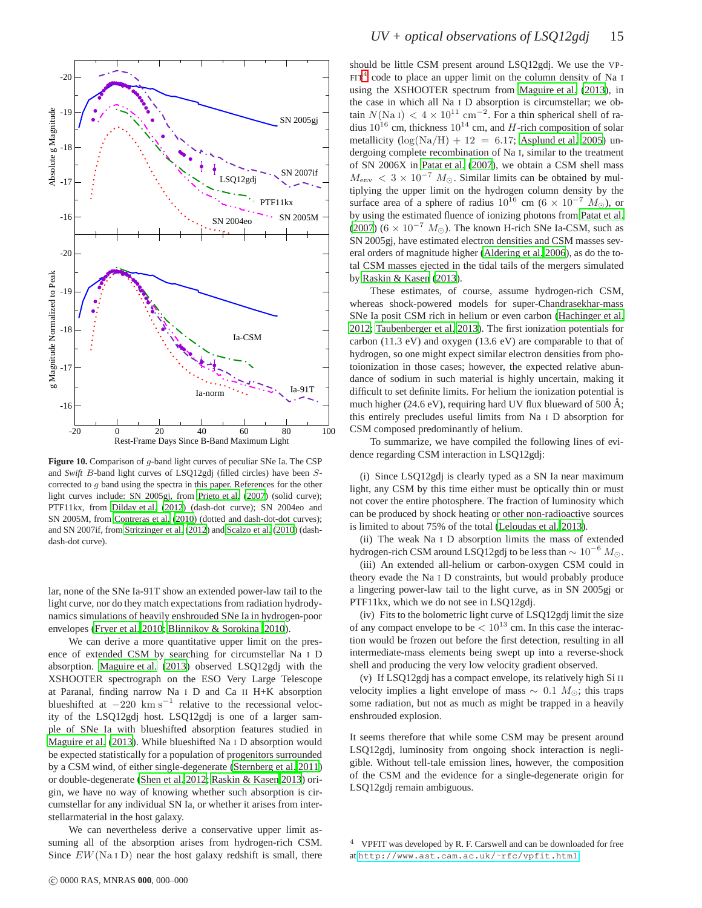

<span id="page-14-0"></span>**Figure 10.** Comparison of g-band light curves of peculiar SNe Ia. The CSP and *Swift* B-band light curves of LSQ12gdj (filled circles) have been Scorrected to g band using the spectra in this paper. References for the other light curves include: SN 2005gj, from [Prieto et al. \(2007](#page-17-87)) (solid curve); PTF11kx, from [Dilday et al. \(2012\)](#page-17-89) (dash-dot curve); SN 2004eo and SN 2005M, from [Contreras et al. \(2010](#page-17-38)) (dotted and dash-dot-dot curves); and SN 2007if, from [Stritzinger et al. \(2012](#page-17-39)) and [Scalzo et al. \(2010\)](#page-17-10) (dashdash-dot curve).

lar, none of the SNe Ia-91T show an extended power-law tail to the light curve, nor do they match expectations from radiation hydrodynamics simulations of heavily enshrouded SNe Ia in hydrogen-poor envelopes [\(Fryer et al. 2010;](#page-17-31) [Blinnikov & Sorokina 2010](#page-16-8)).

We can derive a more quantitative upper limit on the presence of extended CSM by searching for circumstellar Na I D absorption. [Maguire et al.](#page-17-54) [\(2013](#page-17-54)) observed LSQ12gdj with the XSHOOTER spectrograph on the ESO Very Large Telescope at Paranal, finding narrow Na I D and Ca II H+K absorption blueshifted at  $-220 \text{ km s}^{-1}$  relative to the recessional velocity of the LSQ12gdj host. LSQ12gdj is one of a larger sample of SNe Ia with blueshifted absorption features studied in [Maguire et al. \(2013\)](#page-17-54). While blueshifted Na I D absorption would be expected statistically for a population of progenitors surrounded by a CSM wind, of either single-degenerate [\(Sternberg et al.](#page-17-93) [2011](#page-17-93)) or double-degenerate [\(Shen et al. 2012](#page-17-30); [Raskin & Kasen 2013](#page-17-94)) origin, we have no way of knowing whether such absorption is circumstellar for any individual SN Ia, or whether it arises from interstellarmaterial in the host galaxy.

We can nevertheless derive a conservative upper limit assuming all of the absorption arises from hydrogen-rich CSM. Since  $EW(Na I D)$  near the host galaxy redshift is small, there should be little CSM present around LSQ12gdj. We use the VP- $ET<sup>4</sup>$  $ET<sup>4</sup>$  $ET<sup>4</sup>$  code to place an upper limit on the column density of Na I using the XSHOOTER spectrum from [Maguire et al. \(2013\)](#page-17-54), in the case in which all Na I D absorption is circumstellar; we obtain  $N(Na I) < 4 \times 10^{11}$  cm<sup>-2</sup>. For a thin spherical shell of radius  $10^{16}$  cm, thickness  $10^{14}$  cm, and H-rich composition of solar metallicity  $(log(Na/H) + 12 = 6.17$ ; [Asplund et al. 2005\)](#page-16-20) undergoing complete recombination of Na I, similar to the treatment of SN 2006X in [Patat et al.](#page-17-95) [\(2007](#page-17-95)), we obtain a CSM shell mass  $M_{\text{env}} < 3 \times 10^{-7}$   $M_{\odot}$ . Similar limits can be obtained by multiplying the upper limit on the hydrogen column density by the surface area of a sphere of radius  $10^{16}$  cm (6 ×  $10^{-7}$  M<sub>☉</sub>), or by using the estimated fluence of ionizing photons from [Patat](#page-17-95) et al. [\(2007](#page-17-95)) (6  $\times$  10<sup>-7</sup> M<sub>☉</sub>). The known H-rich SNe Ia-CSM, such as SN 2005gj, have estimated electron densities and CSM masses several orders of magnitude higher [\(Aldering et al. 2006](#page-16-17)), as do the total CSM masses ejected in the tidal tails of the mergers simulated by [Raskin & Kasen \(2013](#page-17-94)).

These estimates, of course, assume hydrogen-rich CSM, whereas shock-powered models for super-Chandrasekhar-mass SNe Ia posit CSM rich in helium or even carbon [\(Hachinger et al.](#page-17-28) [2012](#page-17-28); [Taubenberger et al. 2013](#page-17-20)). The first ionization potentials for carbon (11.3 eV) and oxygen (13.6 eV) are comparable to that of hydrogen, so one might expect similar electron densities from photoionization in those cases; however, the expected relative abundance of sodium in such material is highly uncertain, making it difficult to set definite limits. For helium the ionization potential is much higher (24.6 eV), requiring hard UV flux blueward of 500 Å; this entirely precludes useful limits from Na I D absorption for CSM composed predominantly of helium.

To summarize, we have compiled the following lines of evidence regarding CSM interaction in LSQ12gdj:

(i) Since LSQ12gdj is clearly typed as a SN Ia near maximum light, any CSM by this time either must be optically thin or must not cover the entire photosphere. The fraction of luminosity which can be produced by shock heating or other non-radioactive sources is limited to about 75% of the total [\(Leloudas et al. 2013\)](#page-17-92).

(ii) The weak Na I D absorption limits the mass of extended hydrogen-rich CSM around LSQ12gdj to be less than  $\sim 10^{-6} M_{\odot}$ .

(iii) An extended all-helium or carbon-oxygen CSM could in theory evade the Na I D constraints, but would probably produce a lingering power-law tail to the light curve, as in SN 2005gj or PTF11kx, which we do not see in LSQ12gdj.

(iv) Fits to the bolometric light curve of LSQ12gdj limit the size of any compact envelope to be  $< 10^{13}$  cm. In this case the interaction would be frozen out before the first detection, resulting in all intermediate-mass elements being swept up into a reverse-shock shell and producing the very low velocity gradient observed.

(v) If LSQ12gdj has a compact envelope, its relatively high Si II velocity implies a light envelope of mass  $\sim$  0.1  $M_{\odot}$ ; this traps some radiation, but not as much as might be trapped in a heavily enshrouded explosion.

It seems therefore that while some CSM may be present around LSQ12gdj, luminosity from ongoing shock interaction is negligible. Without tell-tale emission lines, however, the composition of the CSM and the evidence for a single-degenerate origin for LSQ12gdj remain ambiguous.

<span id="page-14-1"></span><sup>4</sup> VPFIT was developed by R. F. Carswell and can be downloaded for free at [http://www.ast.cam.ac.uk/˜rfc/vpfit.html](http://www.ast.cam.ac.uk/~rfc/vpfit.html).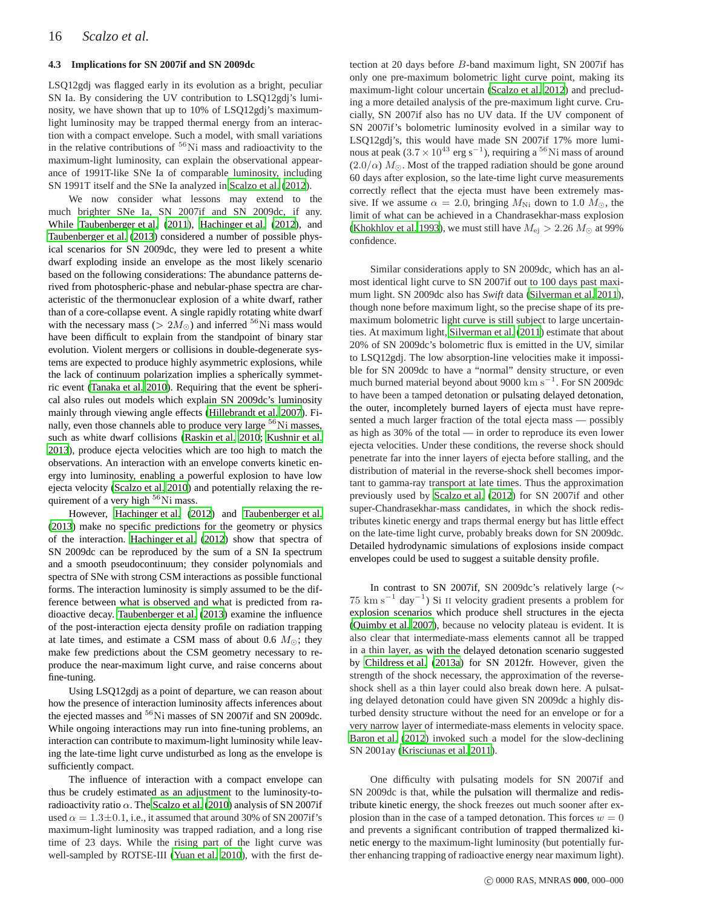## <span id="page-15-0"></span>**4.3 Implications for SN 2007if and SN 2009dc**

LSQ12gdj was flagged early in its evolution as a bright, peculiar SN Ia. By considering the UV contribution to LSQ12gdj's luminosity, we have shown that up to 10% of LSQ12gdj's maximumlight luminosity may be trapped thermal energy from an interaction with a compact envelope. Such a model, with small variations in the relative contributions of  ${}^{56}$ Ni mass and radioactivity to the maximum-light luminosity, can explain the observational appearance of 1991T-like SNe Ia of comparable luminosity, including SN 1991T itself and the SNe Ia analyzed in [Scalzo et al. \(2012](#page-17-32)).

We now consider what lessons may extend to the much brighter SNe Ia, SN 2007if and SN 2009dc, if any. While [Taubenberger et al. \(2011](#page-17-15)), [Hachinger et al. \(2012\)](#page-17-28), and [Taubenberger et al.](#page-17-20) [\(2013](#page-17-20)) considered a number of possible physical scenarios for SN 2009dc, they were led to present a white dwarf exploding inside an envelope as the most likely scenario based on the following considerations: The abundance patterns derived from photospheric-phase and nebular-phase spectra are characteristic of the thermonuclear explosion of a white dwarf, rather than of a core-collapse event. A single rapidly rotating white dwarf with the necessary mass ( $> 2M_{\odot}$ ) and inferred <sup>56</sup>Ni mass would have been difficult to explain from the standpoint of binary star evolution. Violent mergers or collisions in double-degenerate systems are expected to produce highly asymmetric explosions, while the lack of continuum polarization implies a spherically symmetric event [\(Tanaka et al. 2010\)](#page-17-13). Requiring that the event be spherical also rules out models which explain SN 2009dc's luminosity mainly through viewing angle effects [\(Hillebrandt et al. 2007](#page-17-27)). Finally, even those channels able to produce very large  ${}^{56}$ Ni masses, such as white dwarf collisions [\(Raskin et al. 2010;](#page-17-96) [Kushnir et al.](#page-17-97) [2013](#page-17-97)), produce ejecta velocities which are too high to match the observations. An interaction with an envelope converts kinetic energy into luminosity, enabling a powerful explosion to have low ejecta velocity [\(Scalzo et al. 2010\)](#page-17-10) and potentially relaxing the requirement of a very high <sup>56</sup>Ni mass.

However, [Hachinger et al.](#page-17-28) [\(2012](#page-17-28)) and [Taubenberger et al.](#page-17-20) [\(2013](#page-17-20)) make no specific predictions for the geometry or physics of the interaction. [Hachinger et al. \(2012](#page-17-28)) show that spectra of SN 2009dc can be reproduced by the sum of a SN Ia spectrum and a smooth pseudocontinuum; they consider polynomials and spectra of SNe with strong CSM interactions as possible functional forms. The interaction luminosity is simply assumed to be the difference between what is observed and what is predicted from radioactive decay. [Taubenberger et al. \(2013](#page-17-20)) examine the influence of the post-interaction ejecta density profile on radiation trapping at late times, and estimate a CSM mass of about 0.6  $M_{\odot}$ ; they make few predictions about the CSM geometry necessary to reproduce the near-maximum light curve, and raise concerns about fine-tuning.

Using LSQ12gdj as a point of departure, we can reason about how the presence of interaction luminosity affects inferences about the ejected masses and <sup>56</sup>Ni masses of SN 2007if and SN 2009dc. While ongoing interactions may run into fine-tuning problems, an interaction can contribute to maximum-light luminosity while leaving the late-time light curve undisturbed as long as the envelope is sufficiently compact.

The influence of interaction with a compact envelope can thus be crudely estimated as an adjustment to the luminosity-toradioactivity ratio  $\alpha$ . The [Scalzo et al.](#page-17-10) [\(2010](#page-17-10)) analysis of SN 2007if used  $\alpha = 1.3 \pm 0.1$ , i.e., it assumed that around 30% of SN 2007if's maximum-light luminosity was trapped radiation, and a long rise time of 23 days. While the rising part of the light curve was well-sampled by ROTSE-III [\(Yuan et al. 2010\)](#page-17-11), with the first de-

tection at 20 days before B-band maximum light, SN 2007if has only one pre-maximum bolometric light curve point, making its maximum-light colour uncertain [\(Scalzo et al. 2012\)](#page-17-32) and precluding a more detailed analysis of the pre-maximum light curve. Crucially, SN 2007if also has no UV data. If the UV component of SN 2007if's bolometric luminosity evolved in a similar way to LSQ12gdj's, this would have made SN 2007if 17% more luminous at peak (3.7 ×  $10^{43}$  erg s<sup>-1</sup>), requiring a <sup>56</sup>Ni mass of around  $(2.0/\alpha)$   $M_{\odot}$ . Most of the trapped radiation should be gone around 60 days after explosion, so the late-time light curve measurements correctly reflect that the ejecta must have been extremely massive. If we assume  $\alpha = 2.0$ , bringing  $M_{\text{Ni}}$  down to 1.0  $M_{\odot}$ , the limit of what can be achieved in a Chandrasekhar-mass explosion [\(Khokhlov et al. 1993](#page-17-21)), we must still have  $M_{\rm ej} > 2.26 M_{\odot}$  at 99% confidence.

Similar considerations apply to SN 2009dc, which has an almost identical light curve to SN 2007if out to 100 days past maximum light. SN 2009dc also has *Swift* data [\(Silverman et al. 2011](#page-17-14)), though none before maximum light, so the precise shape of its premaximum bolometric light curve is still subject to large uncertainties. At maximum light, [Silverman et al.](#page-17-14) [\(2011](#page-17-14)) estimate that about 20% of SN 2009dc's bolometric flux is emitted in the UV, similar to LSQ12gdj. The low absorption-line velocities make it impossible for SN 2009dc to have a "normal" density structure, or even much burned material beyond about 9000 km s<sup>-1</sup>. For SN 2009dc to have been a tamped detonation or pulsating delayed detonation, the outer, incompletely burned layers of ejecta must have represented a much larger fraction of the total ejecta mass — possibly as high as 30% of the total — in order to reproduce its even lower ejecta velocities. Under these conditions, the reverse shock should penetrate far into the inner layers of ejecta before stalling, and the distribution of material in the reverse-shock shell becomes important to gamma-ray transport at late times. Thus the approximation previously used by [Scalzo et al. \(2012\)](#page-17-32) for SN 2007if and other super-Chandrasekhar-mass candidates, in which the shock redistributes kinetic energy and traps thermal energy but has little effect on the late-time light curve, probably breaks down for SN 2009dc. Detailed hydrodynamic simulations of explosions inside compact envelopes could be used to suggest a suitable density profile.

In contrast to SN 2007if, SN 2009dc's relatively large (∼  $75 \text{ km s}^{-1}$  day<sup>-1</sup>) Si II velocity gradient presents a problem for explosion scenarios which produce shell structures in the ejecta [\(Quimby et al. 2007\)](#page-17-48), because no velocity plateau is evident. It is also clear that intermediate-mass elements cannot all be trapped in a thin layer, as with the delayed detonation scenario suggested by [Childress et al. \(2013a\)](#page-17-52) for SN 2012fr. However, given the strength of the shock necessary, the approximation of the reverseshock shell as a thin layer could also break down here. A pulsating delayed detonation could have given SN 2009dc a highly disturbed density structure without the need for an envelope or for a very narrow layer of intermediate-mass elements in velocity space. [Baron et al. \(2012](#page-16-21)) invoked such a model for the slow-declining SN 2001ay [\(Krisciunas et al. 2011\)](#page-17-98).

One difficulty with pulsating models for SN 2007if and SN 2009dc is that, while the pulsation will thermalize and redistribute kinetic energy, the shock freezes out much sooner after explosion than in the case of a tamped detonation. This forces  $w = 0$ and prevents a significant contribution of trapped thermalized kinetic energy to the maximum-light luminosity (but potentially further enhancing trapping of radioactive energy near maximum light).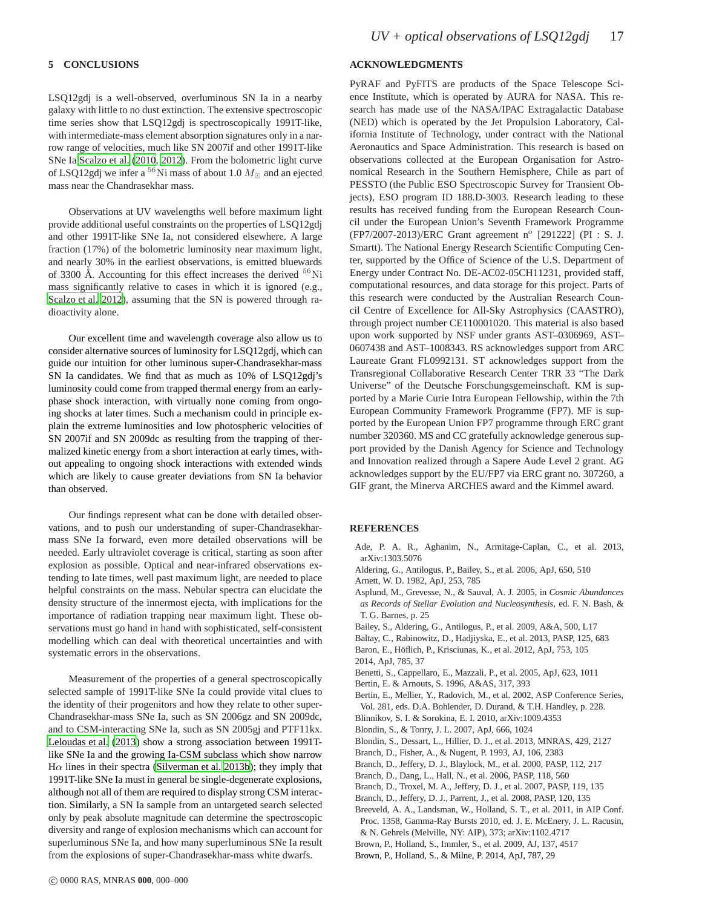LSQ12gdj is a well-observed, overluminous SN Ia in a nearby galaxy with little to no dust extinction. The extensive spectroscopic time series show that LSQ12gdj is spectroscopically 1991T-like, with intermediate-mass element absorption signatures only in a narrow range of velocities, much like SN 2007if and other 1991T-like SNe Ia [Scalzo et al. \(2010](#page-17-10), [2012\)](#page-17-32). From the bolometric light curve of LSQ12gdj we infer a  $^{56}{\rm Ni}$  mass of about 1.0  $M_{\odot}$  and an ejected mass near the Chandrasekhar mass.

Observations at UV wavelengths well before maximum light provide additional useful constraints on the properties of LSQ12gdj and other 1991T-like SNe Ia, not considered elsewhere. A large fraction (17%) of the bolometric luminosity near maximum light, and nearly 30% in the earliest observations, is emitted bluewards of 3300 Å. Accounting for this effect increases the derived <sup>56</sup>Ni mass significantly relative to cases in which it is ignored (e.g., [Scalzo et al. 2012\)](#page-17-32), assuming that the SN is powered through radioactivity alone.

Our excellent time and wavelength coverage also allow us to consider alternative sources of luminosity for LSQ12gdj, which can guide our intuition for other luminous super-Chandrasekhar-mass SN Ia candidates. We find that as much as 10% of LSQ12gdj's luminosity could come from trapped thermal energy from an earlyphase shock interaction, with virtually none coming from ongoing shocks at later times. Such a mechanism could in principle explain the extreme luminosities and low photospheric velocities of SN 2007if and SN 2009dc as resulting from the trapping of thermalized kinetic energy from a short interaction at early times, without appealing to ongoing shock interactions with extended winds which are likely to cause greater deviations from SN Ia behavior than observed.

Our findings represent what can be done with detailed observations, and to push our understanding of super-Chandrasekharmass SNe Ia forward, even more detailed observations will be needed. Early ultraviolet coverage is critical, starting as soon after explosion as possible. Optical and near-infrared observations extending to late times, well past maximum light, are needed to place helpful constraints on the mass. Nebular spectra can elucidate the density structure of the innermost ejecta, with implications for the importance of radiation trapping near maximum light. These observations must go hand in hand with sophisticated, self-consistent modelling which can deal with theoretical uncertainties and with systematic errors in the observations.

Measurement of the properties of a general spectroscopically selected sample of 1991T-like SNe Ia could provide vital clues to the identity of their progenitors and how they relate to other super-Chandrasekhar-mass SNe Ia, such as SN 2006gz and SN 2009dc, and to CSM-interacting SNe Ia, such as SN 2005gj and PTF11kx. [Leloudas et al. \(2013\)](#page-17-92) show a strong association between 1991Tlike SNe Ia and the growing Ia-CSM subclass which show narrow H $\alpha$  lines in their spectra [\(Silverman et al. 2013b](#page-17-91)); they imply that 1991T-like SNe Ia must in general be single-degenerate explosions, although not all of them are required to display strong CSM interaction. Similarly, a SN Ia sample from an untargeted search selected only by peak absolute magnitude can determine the spectroscopic diversity and range of explosion mechanisms which can account for superluminous SNe Ia, and how many superluminous SNe Ia result from the explosions of super-Chandrasekhar-mass white dwarfs.

# **ACKNOWLEDGMENTS**

PyRAF and PyFITS are products of the Space Telescope Science Institute, which is operated by AURA for NASA. This research has made use of the NASA/IPAC Extragalactic Database (NED) which is operated by the Jet Propulsion Laboratory, California Institute of Technology, under contract with the National Aeronautics and Space Administration. This research is based on observations collected at the European Organisation for Astronomical Research in the Southern Hemisphere, Chile as part of PESSTO (the Public ESO Spectroscopic Survey for Transient Objects), ESO program ID 188.D-3003. Research leading to these results has received funding from the European Research Council under the European Union's Seventh Framework Programme (FP7/2007-2013)/ERC Grant agreement n° [291222] (PI : S. J. Smartt). The National Energy Research Scientific Computing Center, supported by the Office of Science of the U.S. Department of Energy under Contract No. DE-AC02-05CH11231, provided staff, computational resources, and data storage for this project. Parts of this research were conducted by the Australian Research Council Centre of Excellence for All-Sky Astrophysics (CAASTRO), through project number CE110001020. This material is also based upon work supported by NSF under grants AST–0306969, AST– 0607438 and AST–1008343. RS acknowledges support from ARC Laureate Grant FL0992131. ST acknowledges support from the Transregional Collaborative Research Center TRR 33 "The Dark Universe" of the Deutsche Forschungsgemeinschaft. KM is supported by a Marie Curie Intra European Fellowship, within the 7th European Community Framework Programme (FP7). MF is supported by the European Union FP7 programme through ERC grant number 320360. MS and CC gratefully acknowledge generous support provided by the Danish Agency for Science and Technology and Innovation realized through a Sapere Aude Level 2 grant. AG acknowledges support by the EU/FP7 via ERC grant no. 307260, a GIF grant, the Minerva ARCHES award and the Kimmel award.

## **REFERENCES**

- <span id="page-16-15"></span>Ade, P. A. R., Aghanim, N., Armitage-Caplan, C., et al. 2013, arXiv:1303.5076
- <span id="page-16-17"></span><span id="page-16-7"></span>Aldering, G., Antilogus, P., Bailey, S., et al. 2006, ApJ, 650, 510 Arnett, W. D. 1982, ApJ, 253, 785
- <span id="page-16-20"></span>Asplund, M., Grevesse, N., & Sauval, A. J. 2005, in *Cosmic Abundances as Records of Stellar Evolution and Nucleosynthesis*, ed. F. N. Bash, & T. G. Barnes, p. 25
- <span id="page-16-5"></span>Bailey, S., Aldering, G., Antilogus, P., et al. 2009, A&A, 500, L17
- <span id="page-16-9"></span>Baltay, C., Rabinowitz, D., Hadjiyska, E., et al. 2013, PASP, 125, 683
- <span id="page-16-21"></span>Baron, E., Höflich, P., Krisciunas, K., et al. 2012, ApJ, 753, 105 2014, ApJ, 785, 37
- <span id="page-16-19"></span><span id="page-16-1"></span>Benetti, S., Cappellaro, E., Mazzali, P., et al. 2005, ApJ, 623, 1011
- <span id="page-16-11"></span>Bertin, E. & Arnouts, S. 1996, A&AS, 317, 393
- <span id="page-16-10"></span>Bertin, E., Mellier, Y., Radovich, M., et al. 2002, ASP Conference Series, Vol. 281, eds. D.A. Bohlender, D. Durand, & T.H. Handley, p. 228.
- <span id="page-16-8"></span>Blinnikov, S. I. & Sorokina, E. I. 2010, arXiv:1009.4353
- <span id="page-16-12"></span>Blondin, S., & Tonry, J. L. 2007, ApJ, 666, 1024
- <span id="page-16-16"></span>Blondin, S., Dessart, L., Hillier, D. J., et al. 2013, MNRAS, 429, 2127
- <span id="page-16-0"></span>Branch, D., Fisher, A., & Nugent, P. 1993, AJ, 106, 2383
- <span id="page-16-18"></span>Branch, D., Jeffery, D. J., Blaylock, M., et al. 2000, PASP, 112, 217
- <span id="page-16-2"></span>Branch, D., Dang, L., Hall, N., et al. 2006, PASP, 118, 560
- <span id="page-16-3"></span>Branch, D., Troxel, M. A., Jeffery, D. J., et al. 2007, PASP, 119, 135
- <span id="page-16-4"></span>Branch, D., Jeffery, D. J., Parrent, J., et al. 2008, PASP, 120, 135
- <span id="page-16-14"></span>Breeveld, A. A., Landsman, W., Holland, S. T., et al. 2011, in AIP Conf.
- Proc. 1358, Gamma-Ray Bursts 2010, ed. J. E. McEnery, J. L. Racusin, & N. Gehrels (Melville, NY: AIP), 373; arXiv:1102.4717
- <span id="page-16-13"></span>Brown, P., Holland, S., Immler, S., et al. 2009, AJ, 137, 4517
- <span id="page-16-6"></span>Brown, P., Holland, S., & Milne, P. 2014, ApJ, 787, 29